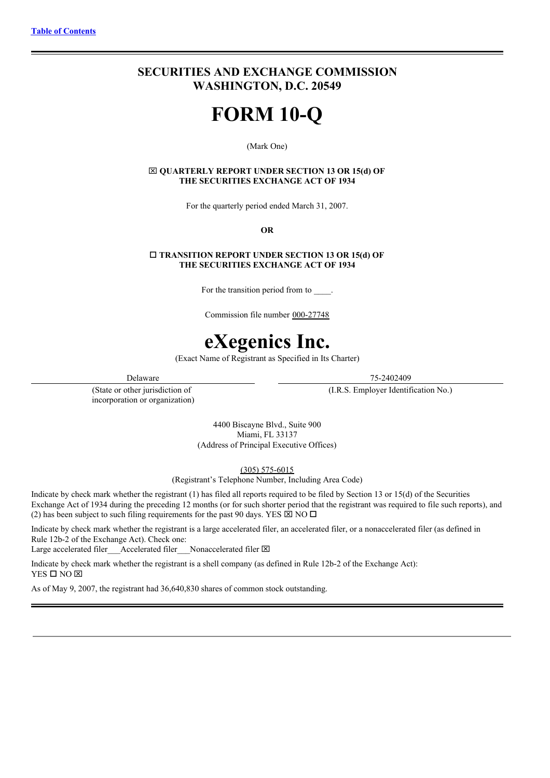# **SECURITIES AND EXCHANGE COMMISSION WASHINGTON, D.C. 20549**

# **FORM 10-Q**

#### (Mark One)

#### x **QUARTERLY REPORT UNDER SECTION 13 OR 15(d) OF THE SECURITIES EXCHANGE ACT OF 1934**

For the quarterly period ended March 31, 2007.

**OR**

#### o **TRANSITION REPORT UNDER SECTION 13 OR 15(d) OF THE SECURITIES EXCHANGE ACT OF 1934**

For the transition period from to

Commission file number 000-27748

# **eXegenics Inc.**

(Exact Name of Registrant as Specified in Its Charter)

(State or other jurisdiction of incorporation or organization)

Delaware 75-2402409

(I.R.S. Employer Identification No.)

4400 Biscayne Blvd., Suite 900 Miami, FL 33137 (Address of Principal Executive Offices)

(305) 575-6015

(Registrant's Telephone Number, Including Area Code)

Indicate by check mark whether the registrant (1) has filed all reports required to be filed by Section 13 or 15(d) of the Securities Exchange Act of 1934 during the preceding 12 months (or for such shorter period that the registrant was required to file such reports), and (2) has been subject to such filing requirements for the past 90 days. YES  $\boxtimes$  NO  $\Box$ 

Indicate by check mark whether the registrant is a large accelerated filer, an accelerated filer, or a nonaccelerated filer (as defined in Rule 12b-2 of the Exchange Act). Check one:

Large accelerated filer Accelerated filer Nonaccelerated filer  $\boxtimes$ 

Indicate by check mark whether the registrant is a shell company (as defined in Rule 12b-2 of the Exchange Act):  $YES$   $\square$  NO  $\square$ 

As of May 9, 2007, the registrant had 36,640,830 shares of common stock outstanding.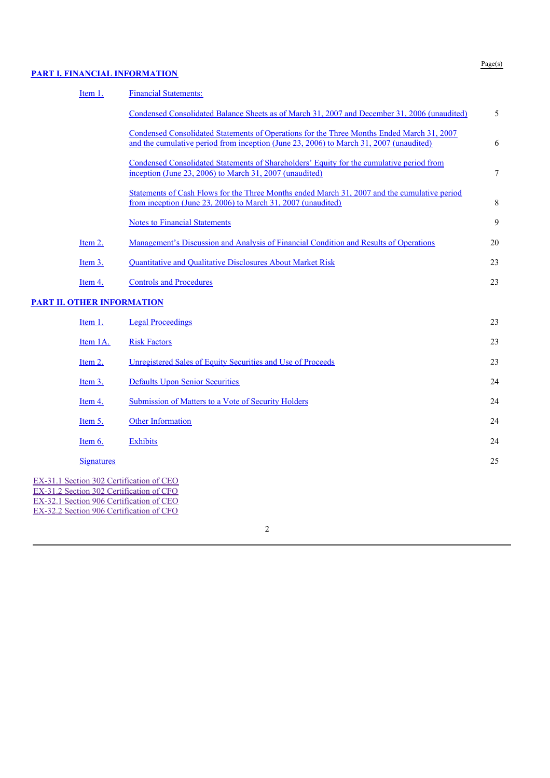# **PART I. FINANCIAL INFORMATION**

| Item 1.                           | <b>Financial Statements:</b>                                                                                                                                                        |    |
|-----------------------------------|-------------------------------------------------------------------------------------------------------------------------------------------------------------------------------------|----|
|                                   | Condensed Consolidated Balance Sheets as of March 31, 2007 and December 31, 2006 (unaudited)                                                                                        | 5  |
|                                   | Condensed Consolidated Statements of Operations for the Three Months Ended March 31, 2007<br>and the cumulative period from inception (June 23, 2006) to March 31, 2007 (unaudited) | 6  |
|                                   | Condensed Consolidated Statements of Shareholders' Equity for the cumulative period from<br>inception (June 23, 2006) to March 31, 2007 (unaudited)                                 | 7  |
|                                   | Statements of Cash Flows for the Three Months ended March 31, 2007 and the cumulative period<br>from inception (June 23, 2006) to March 31, 2007 (unaudited)                        | 8  |
|                                   | <b>Notes to Financial Statements</b>                                                                                                                                                | 9  |
| Item 2.                           | Management's Discussion and Analysis of Financial Condition and Results of Operations                                                                                               | 20 |
| Item 3.                           | <b>Quantitative and Qualitative Disclosures About Market Risk</b>                                                                                                                   | 23 |
| Item 4.                           | <b>Controls and Procedures</b>                                                                                                                                                      | 23 |
| <b>PART II. OTHER INFORMATION</b> |                                                                                                                                                                                     |    |
| Item 1.                           | <b>Legal Proceedings</b>                                                                                                                                                            | 23 |
| Item 1A.                          | <b>Risk Factors</b>                                                                                                                                                                 | 23 |
| Item 2.                           | Unregistered Sales of Equity Securities and Use of Proceeds                                                                                                                         | 23 |
| Item 3.                           | <b>Defaults Upon Senior Securities</b>                                                                                                                                              | 24 |
| Item 4.                           | Submission of Matters to a Vote of Security Holders                                                                                                                                 | 24 |
| Item 5.                           | <b>Other Information</b>                                                                                                                                                            | 24 |
| Item $6.$                         | <b>Exhibits</b>                                                                                                                                                                     | 24 |
| <b>Signatures</b>                 |                                                                                                                                                                                     | 25 |
|                                   | EX-31.1 Section 302 Certification of CEO<br>EX-31.2 Section 302 Certification of CFO<br>EX-32.1 Section 906 Certification of CEO                                                    |    |

EX-32.2 Section 906 Certification of CFO

# 2

# Page(s)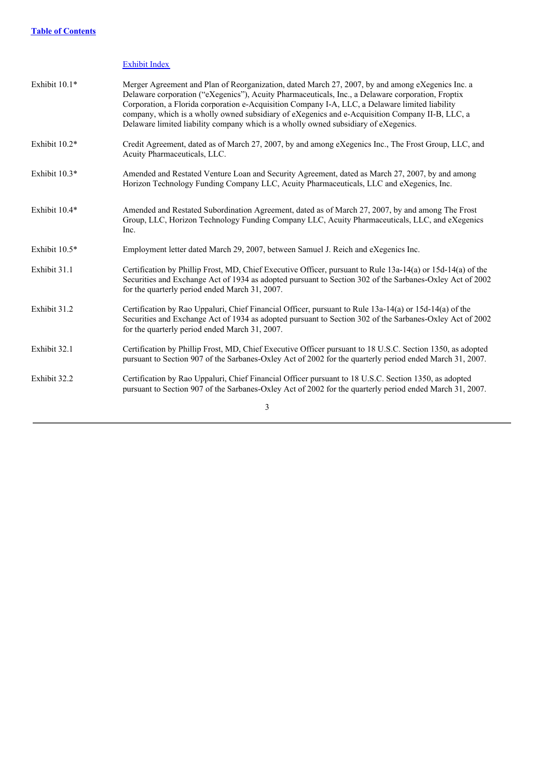|               | <b>Exhibit Index</b>                                                                                                                                                                                                                                                                                                                                                                                                                                                                               |
|---------------|----------------------------------------------------------------------------------------------------------------------------------------------------------------------------------------------------------------------------------------------------------------------------------------------------------------------------------------------------------------------------------------------------------------------------------------------------------------------------------------------------|
| Exhibit 10.1* | Merger Agreement and Plan of Reorganization, dated March 27, 2007, by and among eXegenics Inc. a<br>Delaware corporation ("eXegenics"), Acuity Pharmaceuticals, Inc., a Delaware corporation, Froptix<br>Corporation, a Florida corporation e-Acquisition Company I-A, LLC, a Delaware limited liability<br>company, which is a wholly owned subsidiary of eXegenics and e-Acquisition Company II-B, LLC, a<br>Delaware limited liability company which is a wholly owned subsidiary of eXegenics. |
| Exhibit 10.2* | Credit Agreement, dated as of March 27, 2007, by and among eXegenics Inc., The Frost Group, LLC, and<br>Acuity Pharmaceuticals, LLC.                                                                                                                                                                                                                                                                                                                                                               |
| Exhibit 10.3* | Amended and Restated Venture Loan and Security Agreement, dated as March 27, 2007, by and among<br>Horizon Technology Funding Company LLC, Acuity Pharmaceuticals, LLC and eXegenics, Inc.                                                                                                                                                                                                                                                                                                         |
| Exhibit 10.4* | Amended and Restated Subordination Agreement, dated as of March 27, 2007, by and among The Frost<br>Group, LLC, Horizon Technology Funding Company LLC, Acuity Pharmaceuticals, LLC, and eXegenics<br>Inc.                                                                                                                                                                                                                                                                                         |
| Exhibit 10.5* | Employment letter dated March 29, 2007, between Samuel J. Reich and eXegenics Inc.                                                                                                                                                                                                                                                                                                                                                                                                                 |
| Exhibit 31.1  | Certification by Phillip Frost, MD, Chief Executive Officer, pursuant to Rule 13a-14(a) or 15d-14(a) of the<br>Securities and Exchange Act of 1934 as adopted pursuant to Section 302 of the Sarbanes-Oxley Act of 2002<br>for the quarterly period ended March 31, 2007.                                                                                                                                                                                                                          |
| Exhibit 31.2  | Certification by Rao Uppaluri, Chief Financial Officer, pursuant to Rule 13a-14(a) or 15d-14(a) of the<br>Securities and Exchange Act of 1934 as adopted pursuant to Section 302 of the Sarbanes-Oxley Act of 2002<br>for the quarterly period ended March 31, 2007.                                                                                                                                                                                                                               |
| Exhibit 32.1  | Certification by Phillip Frost, MD, Chief Executive Officer pursuant to 18 U.S.C. Section 1350, as adopted<br>pursuant to Section 907 of the Sarbanes-Oxley Act of 2002 for the quarterly period ended March 31, 2007.                                                                                                                                                                                                                                                                             |
| Exhibit 32.2  | Certification by Rao Uppaluri, Chief Financial Officer pursuant to 18 U.S.C. Section 1350, as adopted<br>pursuant to Section 907 of the Sarbanes-Oxley Act of 2002 for the quarterly period ended March 31, 2007.                                                                                                                                                                                                                                                                                  |
|               | 3                                                                                                                                                                                                                                                                                                                                                                                                                                                                                                  |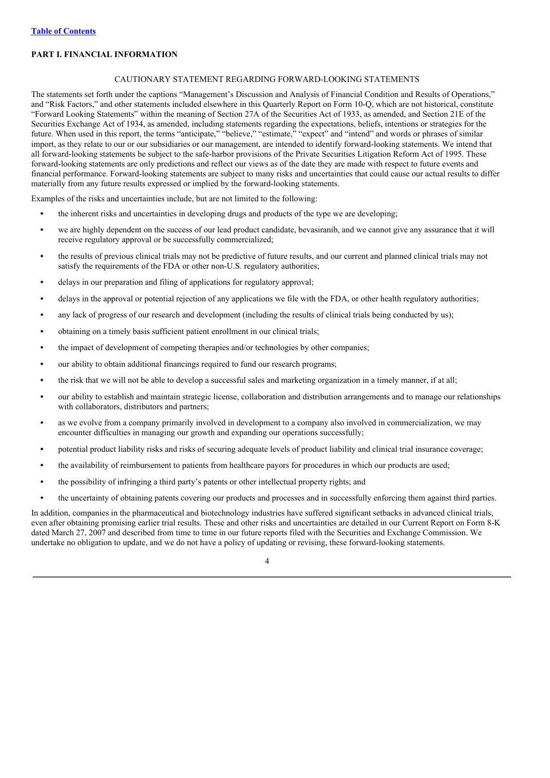# **PART I. FINANCIAL INFORMATION**

#### CAUTIONARY STATEMENT REGARDING FORWARD-LOOKING STATEMENTS

The statements set forth under the captions "Management's Discussion and Analysis of Financial Condition and Results of Operations," and "Risk Factors," and other statements included elsewhere in this Quarterly Report on Form 10-Q, which are not historical, constitute "Forward Looking Statements" within the meaning of Section 27A of the Securities Act of 1933, as amended, and Section 21E of the Securities Exchange Act of 1934, as amended, including statements regarding the expectations, beliefs, intentions or strategies for the future. When used in this report, the terms "anticipate," "believe," "estimate," "expect" and "intend" and words or phrases of similar import, as they relate to our or our subsidiaries or our management, are intended to identify forward-looking statements. We intend that all forward-looking statements be subject to the safe-harbor provisions of the Private Securities Litigation Reform Act of 1995. These forward-looking statements are only predictions and reflect our views as of the date they are made with respect to future events and financial performance. Forward-looking statements are subject to many risks and uncertainties that could cause our actual results to differ materially from any future results expressed or implied by the forward-looking statements.

Examples of the risks and uncertainties include, but are not limited to the following:

- the inherent risks and uncertainties in developing drugs and products of the type we are developing;
- we are highly dependent on the success of our lead product candidate, bevasiranib, and we cannot give any assurance that it will receive regulatory approval or be successfully commercialized;
- the results of previous clinical trials may not be predictive of future results, and our current and planned clinical trials may not satisfy the requirements of the FDA or other non-U.S. regulatory authorities;
- **•** delays in our preparation and filing of applications for regulatory approval;
- **•** delays in the approval or potential rejection of any applications we file with the FDA, or other health regulatory authorities;
- any lack of progress of our research and development (including the results of clinical trials being conducted by us);
- **•** obtaining on a timely basis sufficient patient enrollment in our clinical trials;
- **•** the impact of development of competing therapies and/or technologies by other companies;
- **•** our ability to obtain additional financings required to fund our research programs;
- the risk that we will not be able to develop a successful sales and marketing organization in a timely manner, if at all;
- **•** our ability to establish and maintain strategic license, collaboration and distribution arrangements and to manage our relationships with collaborators, distributors and partners;
- **•** as we evolve from a company primarily involved in development to a company also involved in commercialization, we may encounter difficulties in managing our growth and expanding our operations successfully;
- **•** potential product liability risks and risks of securing adequate levels of product liability and clinical trial insurance coverage;
- **•** the availability of reimbursement to patients from healthcare payors for procedures in which our products are used;
- the possibility of infringing a third party's patents or other intellectual property rights; and
- **•** the uncertainty of obtaining patents covering our products and processes and in successfully enforcing them against third parties.

In addition, companies in the pharmaceutical and biotechnology industries have suffered significant setbacks in advanced clinical trials, even after obtaining promising earlier trial results. These and other risks and uncertainties are detailed in our Current Report on Form 8-K dated March 27, 2007 and described from time to time in our future reports filed with the Securities and Exchange Commission. We undertake no obligation to update, and we do not have a policy of updating or revising, these forward-looking statements.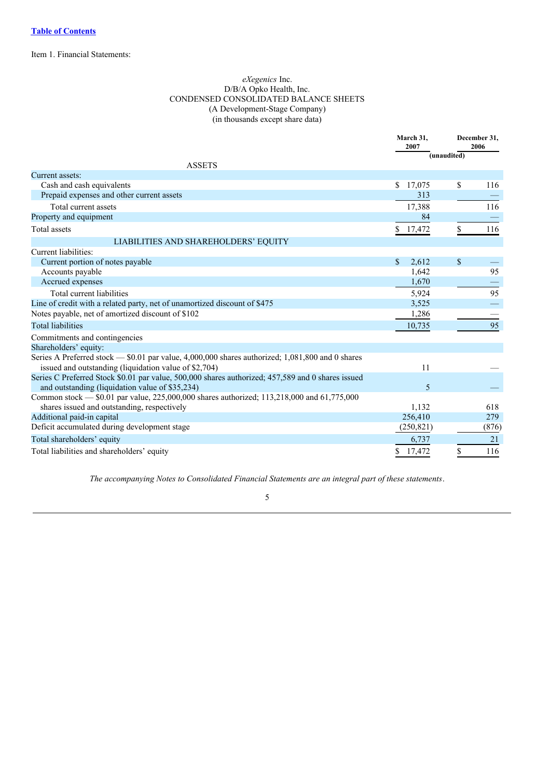Item 1. Financial Statements:

#### *eXegenics* Inc. D/B/A Opko Health, Inc. CONDENSED CONSOLIDATED BALANCE SHEETS (A Development-Stage Company) (in thousands except share data)

|                                                                                                                                           | March 31,<br>2007 | December 31,<br>2006<br>(unaudited) |
|-------------------------------------------------------------------------------------------------------------------------------------------|-------------------|-------------------------------------|
| <b>ASSETS</b>                                                                                                                             |                   |                                     |
| Current assets:                                                                                                                           |                   |                                     |
| Cash and cash equivalents                                                                                                                 | \$17,075          | \$<br>116                           |
| Prepaid expenses and other current assets                                                                                                 | 313               |                                     |
| Total current assets                                                                                                                      | 17,388            | 116                                 |
| Property and equipment                                                                                                                    | 84                |                                     |
| <b>Total assets</b>                                                                                                                       | \$17,472          | \$<br>116                           |
| LIABILITIES AND SHAREHOLDERS' EQUITY                                                                                                      |                   |                                     |
| Current liabilities:                                                                                                                      |                   |                                     |
| Current portion of notes payable                                                                                                          | \$<br>2,612       | \$                                  |
| Accounts payable                                                                                                                          | 1,642             | 95                                  |
| Accrued expenses                                                                                                                          | 1,670             |                                     |
| Total current liabilities                                                                                                                 | 5,924             | 95                                  |
| Line of credit with a related party, net of unamortized discount of \$475                                                                 | 3,525             |                                     |
| Notes payable, net of amortized discount of \$102                                                                                         | 1,286             |                                     |
| <b>Total liabilities</b>                                                                                                                  | 10,735            | 95                                  |
| Commitments and contingencies                                                                                                             |                   |                                     |
| Shareholders' equity:                                                                                                                     |                   |                                     |
| Series A Preferred stock — \$0.01 par value, 4,000,000 shares authorized; 1,081,800 and 0 shares                                          |                   |                                     |
| issued and outstanding (liquidation value of \$2,704)                                                                                     | 11                |                                     |
| Series C Preferred Stock \$0.01 par value, 500,000 shares authorized; 457,589 and 0 shares issued                                         |                   |                                     |
| and outstanding (liquidation value of \$35,234)                                                                                           | 5                 |                                     |
| Common stock — \$0.01 par value, 225,000,000 shares authorized; 113,218,000 and 61,775,000<br>shares issued and outstanding, respectively | 1,132             | 618                                 |
| Additional paid-in capital                                                                                                                | 256,410           | 279                                 |
| Deficit accumulated during development stage                                                                                              | (250, 821)        | (876)                               |
|                                                                                                                                           |                   |                                     |
| Total shareholders' equity                                                                                                                | 6,737             | 21                                  |
| Total liabilities and shareholders' equity                                                                                                | \$17,472          | \$<br>116                           |

*The accompanying Notes to Consolidated Financial Statements are an integral part of these statements*.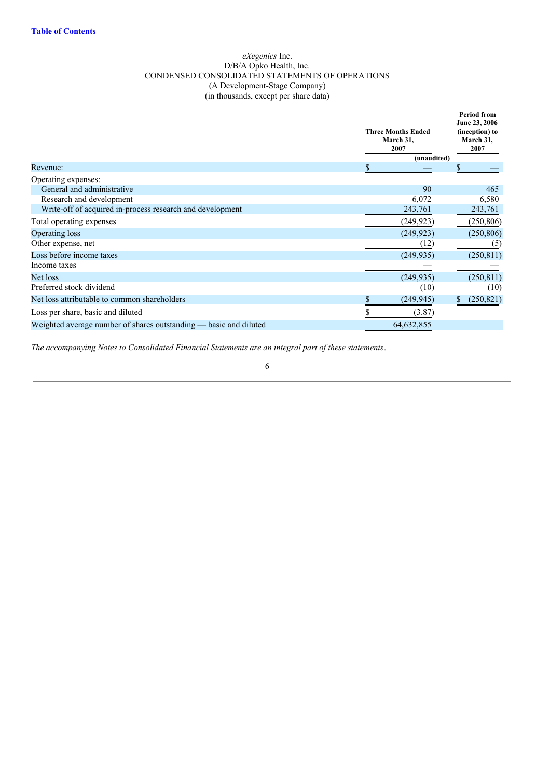#### *eXegenics* Inc. D/B/A Opko Health, Inc. CONDENSED CONSOLIDATED STATEMENTS OF OPERATIONS (A Development-Stage Company) (in thousands, except per share data)

|                                                                        | <b>Three Months Ended</b><br>March 31,<br>2007 | <b>Period from</b><br>June 23, 2006<br>(inception) to<br>March 31,<br>2007<br>(unaudited) |
|------------------------------------------------------------------------|------------------------------------------------|-------------------------------------------------------------------------------------------|
| Revenue:                                                               | S                                              | S                                                                                         |
| Operating expenses:                                                    |                                                |                                                                                           |
| General and administrative                                             |                                                | 90<br>465                                                                                 |
| Research and development                                               |                                                | 6,072<br>6,580                                                                            |
| Write-off of acquired in-process research and development              |                                                | 243,761<br>243,761                                                                        |
| Total operating expenses                                               |                                                | (250, 806)<br>(249, 923)                                                                  |
| Operating loss                                                         |                                                | (249, 923)<br>(250, 806)                                                                  |
| Other expense, net                                                     |                                                | (12)<br>(5)                                                                               |
| Loss before income taxes                                               |                                                | (250, 811)<br>(249, 935)                                                                  |
| Income taxes                                                           |                                                |                                                                                           |
| Net loss                                                               |                                                | (250, 811)<br>(249, 935)                                                                  |
| Preferred stock dividend                                               |                                                | (10)<br>(10)                                                                              |
| Net loss attributable to common shareholders                           |                                                | (250, 821)<br>(249, 945)                                                                  |
| Loss per share, basic and diluted                                      |                                                | (3.87)                                                                                    |
| Weighted average number of shares outstanding –<br>- basic and diluted | 64,632,855                                     |                                                                                           |
|                                                                        |                                                |                                                                                           |

*The accompanying Notes to Consolidated Financial Statements are an integral part of these statements*.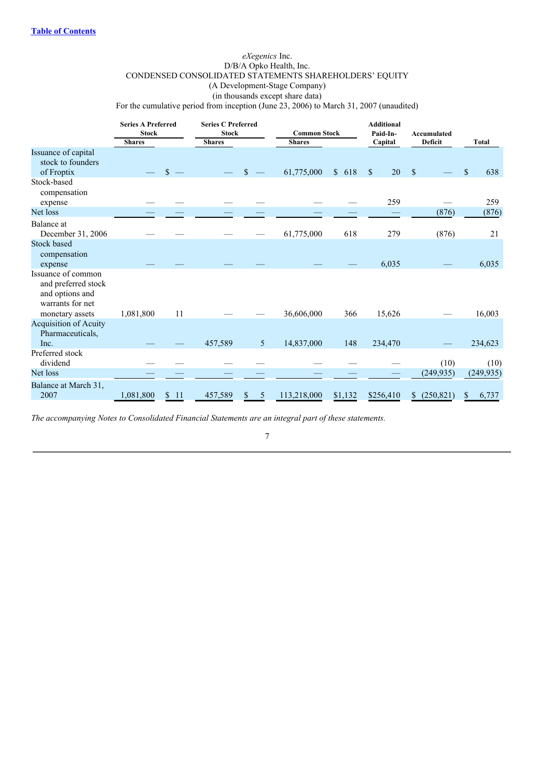# *eXegenics* Inc. D/B/A Opko Health, Inc. CONDENSED CONSOLIDATED STATEMENTS SHAREHOLDERS' EQUITY (A Development-Stage Company) (in thousands except share data)

|  | For the cumulative period from inception (June 23, 2006) to March 31, 2007 (unaudited) |
|--|----------------------------------------------------------------------------------------|
|--|----------------------------------------------------------------------------------------|

|                                                                                                     | <b>Series A Preferred</b><br><b>Stock</b> |              | <b>Series C Preferred</b><br><b>Stock</b> |                | <b>Common Stock</b> |         | <b>Additional</b><br>Paid-In-   | Accumulated                |              |
|-----------------------------------------------------------------------------------------------------|-------------------------------------------|--------------|-------------------------------------------|----------------|---------------------|---------|---------------------------------|----------------------------|--------------|
|                                                                                                     | <b>Shares</b>                             |              | <b>Shares</b>                             |                | <b>Shares</b>       |         | Capital                         | Deficit                    | <b>Total</b> |
| Issuance of capital<br>stock to founders<br>of Froptix                                              |                                           | $\mathbf{s}$ |                                           | \$             | 61,775,000          | \$618   | $\boldsymbol{\mathsf{S}}$<br>20 | \$                         | \$<br>638    |
| Stock-based<br>compensation<br>expense                                                              |                                           |              |                                           |                |                     |         | 259                             |                            | 259          |
| Net loss                                                                                            |                                           |              |                                           |                |                     |         |                                 | (876)                      | (876)        |
| Balance at<br>December 31, 2006                                                                     |                                           |              |                                           |                | 61,775,000          | 618     | 279                             | (876)                      | 21           |
| <b>Stock based</b><br>compensation<br>expense                                                       |                                           |              |                                           |                |                     |         | 6,035                           |                            | 6,035        |
| Issuance of common<br>and preferred stock<br>and options and<br>warrants for net<br>monetary assets | 1,081,800                                 | 11           |                                           |                | 36,606,000          | 366     | 15,626                          |                            | 16,003       |
| <b>Acquisition of Acuity</b><br>Pharmaceuticals,<br>Inc.                                            |                                           |              | 457,589                                   | 5 <sup>5</sup> | 14,837,000          | 148     | 234,470                         |                            | 234,623      |
| Preferred stock<br>dividend                                                                         |                                           |              |                                           |                |                     |         |                                 | (10)                       | (10)         |
| Net loss                                                                                            |                                           |              |                                           |                |                     |         |                                 | (249, 935)                 | (249, 935)   |
| Balance at March 31,<br>2007                                                                        | 1,081,800                                 | \$11         | 457,589                                   | \$<br>5        | 113,218,000         | \$1,132 | \$256,410                       | (250, 821)<br>$\mathbb{S}$ | 6,737<br>\$  |

*The accompanying Notes to Consolidated Financial Statements are an integral part of these statements.*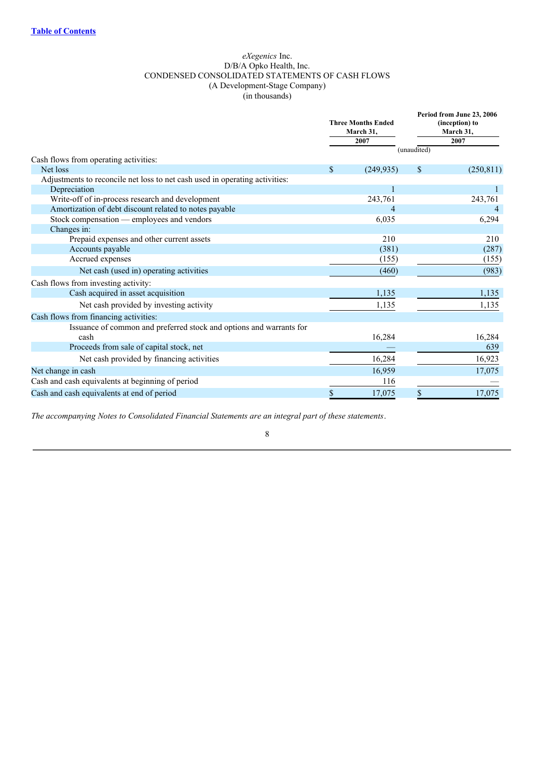### *eXegenics* Inc. D/B/A Opko Health, Inc. CONDENSED CONSOLIDATED STATEMENTS OF CASH FLOWS (A Development-Stage Company) (in thousands)

|                                                                             | <b>Three Months Ended</b><br>March 31, |            | Period from June 23, 2006<br>(inception) to<br>March 31, |            |
|-----------------------------------------------------------------------------|----------------------------------------|------------|----------------------------------------------------------|------------|
|                                                                             |                                        | 2007       |                                                          | 2007       |
| Cash flows from operating activities:                                       |                                        |            | (unaudited)                                              |            |
| Net loss                                                                    | $\mathbb{S}$                           | (249, 935) | \$                                                       | (250, 811) |
| Adjustments to reconcile net loss to net cash used in operating activities: |                                        |            |                                                          |            |
| Depreciation                                                                |                                        |            |                                                          |            |
| Write-off of in-process research and development                            |                                        | 243,761    |                                                          | 243,761    |
| Amortization of debt discount related to notes payable                      |                                        |            |                                                          |            |
| Stock compensation — employees and vendors                                  |                                        | 6,035      |                                                          | 6,294      |
| Changes in:                                                                 |                                        |            |                                                          |            |
| Prepaid expenses and other current assets                                   |                                        | 210        |                                                          | 210        |
| Accounts payable                                                            |                                        | (381)      |                                                          | (287)      |
| Accrued expenses                                                            |                                        | (155)      |                                                          | (155)      |
| Net cash (used in) operating activities                                     |                                        | (460)      |                                                          | (983)      |
| Cash flows from investing activity:                                         |                                        |            |                                                          |            |
| Cash acquired in asset acquisition                                          |                                        | 1,135      |                                                          | 1,135      |
| Net cash provided by investing activity                                     |                                        | 1,135      |                                                          | 1,135      |
| Cash flows from financing activities:                                       |                                        |            |                                                          |            |
| Issuance of common and preferred stock and options and warrants for         |                                        |            |                                                          |            |
| cash                                                                        |                                        | 16,284     |                                                          | 16,284     |
| Proceeds from sale of capital stock, net                                    |                                        |            |                                                          | 639        |
| Net cash provided by financing activities                                   |                                        | 16,284     |                                                          | 16,923     |
| Net change in cash                                                          |                                        | 16,959     |                                                          | 17,075     |
| Cash and cash equivalents at beginning of period                            |                                        | 116        |                                                          |            |
| Cash and cash equivalents at end of period                                  | \$                                     | 17,075     | \$                                                       | 17,075     |
|                                                                             |                                        |            |                                                          |            |

*The accompanying Notes to Consolidated Financial Statements are an integral part of these statements*.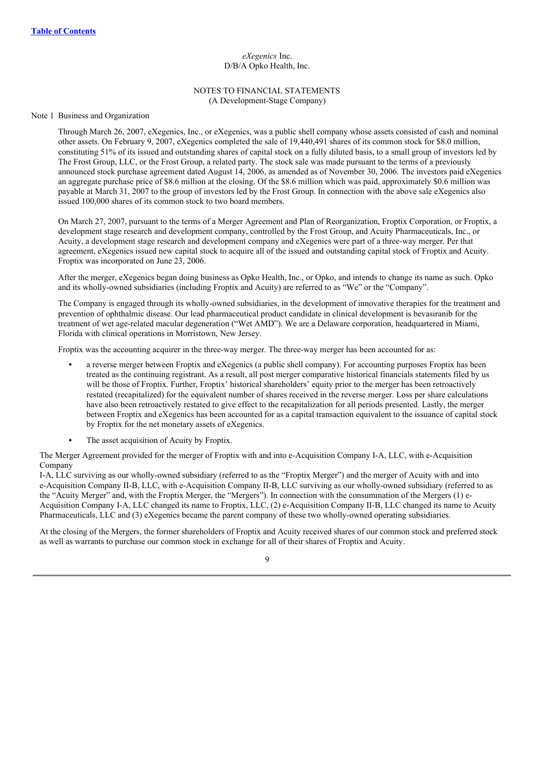#### *eXegenics* Inc. D/B/A Opko Health, Inc.

#### NOTES TO FINANCIAL STATEMENTS (A Development-Stage Company)

#### Note 1 Business and Organization

Through March 26, 2007, eXegenics, Inc., or eXegenics, was a public shell company whose assets consisted of cash and nominal other assets. On February 9, 2007, eXegenics completed the sale of 19,440,491 shares of its common stock for \$8.0 million, constituting 51% of its issued and outstanding shares of capital stock on a fully diluted basis, to a small group of investors led by The Frost Group, LLC, or the Frost Group, a related party. The stock sale was made pursuant to the terms of a previously announced stock purchase agreement dated August 14, 2006, as amended as of November 30, 2006. The investors paid eXegenics an aggregate purchase price of \$8.6 million at the closing. Of the \$8.6 million which was paid, approximately \$0.6 million was payable at March 31, 2007 to the group of investors led by the Frost Group. In connection with the above sale eXegenics also issued 100,000 shares of its common stock to two board members.

On March 27, 2007, pursuant to the terms of a Merger Agreement and Plan of Reorganization, Froptix Corporation, or Froptix, a development stage research and development company, controlled by the Frost Group, and Acuity Pharmaceuticals, Inc., or Acuity, a development stage research and development company and eXegenics were part of a three-way merger. Per that agreement, eXegenics issued new capital stock to acquire all of the issued and outstanding capital stock of Froptix and Acuity. Froptix was incorporated on June 23, 2006.

After the merger, eXegenics began doing business as Opko Health, Inc., or Opko, and intends to change its name as such. Opko and its wholly-owned subsidiaries (including Froptix and Acuity) are referred to as "We" or the "Company".

The Company is engaged through its wholly-owned subsidiaries, in the development of innovative therapies for the treatment and prevention of ophthalmic disease. Our lead pharmaceutical product candidate in clinical development is bevasiranib for the treatment of wet age-related macular degeneration ("Wet AMD"). We are a Delaware corporation, headquartered in Miami, Florida with clinical operations in Morristown, New Jersey.

Froptix was the accounting acquirer in the three-way merger. The three-way merger has been accounted for as:

- **•** a reverse merger between Froptix and eXegenics (a public shell company). For accounting purposes Froptix has been treated as the continuing registrant. As a result, all post merger comparative historical financials statements filed by us will be those of Froptix. Further, Froptix' historical shareholders' equity prior to the merger has been retroactively restated (recapitalized) for the equivalent number of shares received in the reverse merger. Loss per share calculations have also been retroactively restated to give effect to the recapitalization for all periods presented. Lastly, the merger between Froptix and eXegenics has been accounted for as a capital transaction equivalent to the issuance of capital stock by Froptix for the net monetary assets of eXegenics.
- **•** The asset acquisition of Acuity by Froptix.

The Merger Agreement provided for the merger of Froptix with and into e-Acquisition Company I-A, LLC, with e-Acquisition Company

I-A, LLC surviving as our wholly-owned subsidiary (referred to as the "Froptix Merger") and the merger of Acuity with and into e-Acquisition Company II-B, LLC, with e-Acquisition Company II-B, LLC surviving as our wholly-owned subsidiary (referred to as the "Acuity Merger" and, with the Froptix Merger, the "Mergers"). In connection with the consummation of the Mergers (1) e-Acquisition Company I-A, LLC changed its name to Froptix, LLC, (2) e-Acquisition Company II-B, LLC changed its name to Acuity Pharmaceuticals, LLC and (3) eXegenics became the parent company of these two wholly-owned operating subsidiaries.

At the closing of the Mergers, the former shareholders of Froptix and Acuity received shares of our common stock and preferred stock as well as warrants to purchase our common stock in exchange for all of their shares of Froptix and Acuity.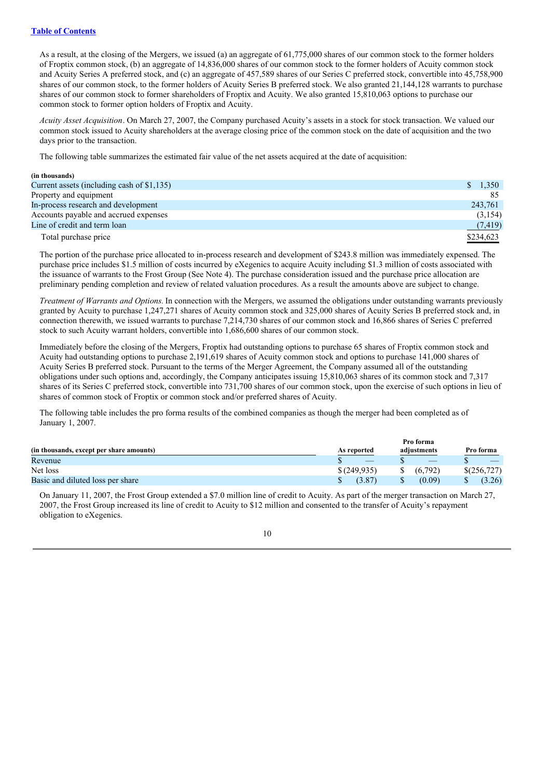#### **Table of Contents**

As a result, at the closing of the Mergers, we issued (a) an aggregate of 61,775,000 shares of our common stock to the former holders of Froptix common stock, (b) an aggregate of 14,836,000 shares of our common stock to the former holders of Acuity common stock and Acuity Series A preferred stock, and (c) an aggregate of 457,589 shares of our Series C preferred stock, convertible into 45,758,900 shares of our common stock, to the former holders of Acuity Series B preferred stock. We also granted 21,144,128 warrants to purchase shares of our common stock to former shareholders of Froptix and Acuity. We also granted 15,810,063 options to purchase our common stock to former option holders of Froptix and Acuity.

*Acuity Asset Acquisition*. On March 27, 2007, the Company purchased Acuity's assets in a stock for stock transaction. We valued our common stock issued to Acuity shareholders at the average closing price of the common stock on the date of acquisition and the two days prior to the transaction.

The following table summarizes the estimated fair value of the net assets acquired at the date of acquisition:

#### **(in thousands)**

| Current assets (including cash of $$1,135$ ) | $\frac{\$}{1.350}$ |
|----------------------------------------------|--------------------|
| Property and equipment                       | 85                 |
| In-process research and development          | 243.761            |
| Accounts payable and accrued expenses        | (3,154)            |
| Line of credit and term loan                 | (7, 419)           |
| Total purchase price                         | \$234,623          |

The portion of the purchase price allocated to in-process research and development of \$243.8 million was immediately expensed. The purchase price includes \$1.5 million of costs incurred by eXegenics to acquire Acuity including \$1.3 million of costs associated with the issuance of warrants to the Frost Group (See Note 4). The purchase consideration issued and the purchase price allocation are preliminary pending completion and review of related valuation procedures. As a result the amounts above are subject to change.

*Treatment of Warrants and Options.* In connection with the Mergers, we assumed the obligations under outstanding warrants previously granted by Acuity to purchase 1,247,271 shares of Acuity common stock and 325,000 shares of Acuity Series B preferred stock and, in connection therewith, we issued warrants to purchase 7,214,730 shares of our common stock and 16,866 shares of Series C preferred stock to such Acuity warrant holders, convertible into 1,686,600 shares of our common stock.

Immediately before the closing of the Mergers, Froptix had outstanding options to purchase 65 shares of Froptix common stock and Acuity had outstanding options to purchase 2,191,619 shares of Acuity common stock and options to purchase 141,000 shares of Acuity Series B preferred stock. Pursuant to the terms of the Merger Agreement, the Company assumed all of the outstanding obligations under such options and, accordingly, the Company anticipates issuing 15,810,063 shares of its common stock and 7,317 shares of its Series C preferred stock, convertible into 731,700 shares of our common stock, upon the exercise of such options in lieu of shares of common stock of Froptix or common stock and/or preferred shares of Acuity.

The following table includes the pro forma results of the combined companies as though the merger had been completed as of January 1, 2007.

|                                          |             |        | Pro forma   |              |
|------------------------------------------|-------------|--------|-------------|--------------|
| (in thousands, except per share amounts) | As reported |        | adiustments | Pro forma    |
| Revenue                                  |             |        |             |              |
| Net loss                                 | \$(249,935) |        | (6.792)     | \$(256, 727) |
| Basic and diluted loss per share         |             | (3.87) | (0.09)      | 3.26         |

On January 11, 2007, the Frost Group extended a \$7.0 million line of credit to Acuity. As part of the merger transaction on March 27, 2007, the Frost Group increased its line of credit to Acuity to \$12 million and consented to the transfer of Acuity's repayment obligation to eXegenics.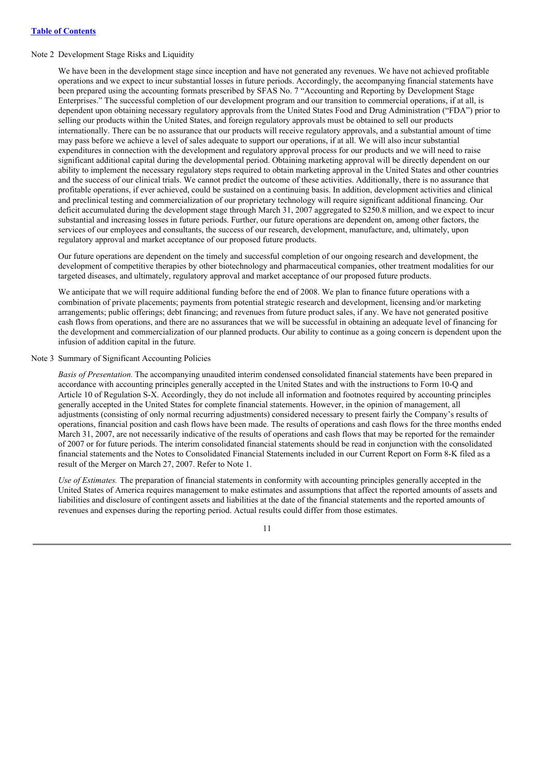#### **Table of Contents**

# Note 2 Development Stage Risks and Liquidity

We have been in the development stage since inception and have not generated any revenues. We have not achieved profitable operations and we expect to incur substantial losses in future periods. Accordingly, the accompanying financial statements have been prepared using the accounting formats prescribed by SFAS No. 7 "Accounting and Reporting by Development Stage Enterprises." The successful completion of our development program and our transition to commercial operations, if at all, is dependent upon obtaining necessary regulatory approvals from the United States Food and Drug Administration ("FDA") prior to selling our products within the United States, and foreign regulatory approvals must be obtained to sell our products internationally. There can be no assurance that our products will receive regulatory approvals, and a substantial amount of time may pass before we achieve a level of sales adequate to support our operations, if at all. We will also incur substantial expenditures in connection with the development and regulatory approval process for our products and we will need to raise significant additional capital during the developmental period. Obtaining marketing approval will be directly dependent on our ability to implement the necessary regulatory steps required to obtain marketing approval in the United States and other countries and the success of our clinical trials. We cannot predict the outcome of these activities. Additionally, there is no assurance that profitable operations, if ever achieved, could be sustained on a continuing basis. In addition, development activities and clinical and preclinical testing and commercialization of our proprietary technology will require significant additional financing. Our deficit accumulated during the development stage through March 31, 2007 aggregated to \$250.8 million, and we expect to incur substantial and increasing losses in future periods. Further, our future operations are dependent on, among other factors, the services of our employees and consultants, the success of our research, development, manufacture, and, ultimately, upon regulatory approval and market acceptance of our proposed future products.

Our future operations are dependent on the timely and successful completion of our ongoing research and development, the development of competitive therapies by other biotechnology and pharmaceutical companies, other treatment modalities for our targeted diseases, and ultimately, regulatory approval and market acceptance of our proposed future products.

We anticipate that we will require additional funding before the end of 2008. We plan to finance future operations with a combination of private placements; payments from potential strategic research and development, licensing and/or marketing arrangements; public offerings; debt financing; and revenues from future product sales, if any. We have not generated positive cash flows from operations, and there are no assurances that we will be successful in obtaining an adequate level of financing for the development and commercialization of our planned products. Our ability to continue as a going concern is dependent upon the infusion of addition capital in the future.

# Note 3 Summary of Significant Accounting Policies

*Basis of Presentation.* The accompanying unaudited interim condensed consolidated financial statements have been prepared in accordance with accounting principles generally accepted in the United States and with the instructions to Form 10-Q and Article 10 of Regulation S-X. Accordingly, they do not include all information and footnotes required by accounting principles generally accepted in the United States for complete financial statements. However, in the opinion of management, all adjustments (consisting of only normal recurring adjustments) considered necessary to present fairly the Company's results of operations, financial position and cash flows have been made. The results of operations and cash flows for the three months ended March 31, 2007, are not necessarily indicative of the results of operations and cash flows that may be reported for the remainder of 2007 or for future periods. The interim consolidated financial statements should be read in conjunction with the consolidated financial statements and the Notes to Consolidated Financial Statements included in our Current Report on Form 8-K filed as a result of the Merger on March 27, 2007. Refer to Note 1.

*Use of Estimates.* The preparation of financial statements in conformity with accounting principles generally accepted in the United States of America requires management to make estimates and assumptions that affect the reported amounts of assets and liabilities and disclosure of contingent assets and liabilities at the date of the financial statements and the reported amounts of revenues and expenses during the reporting period. Actual results could differ from those estimates.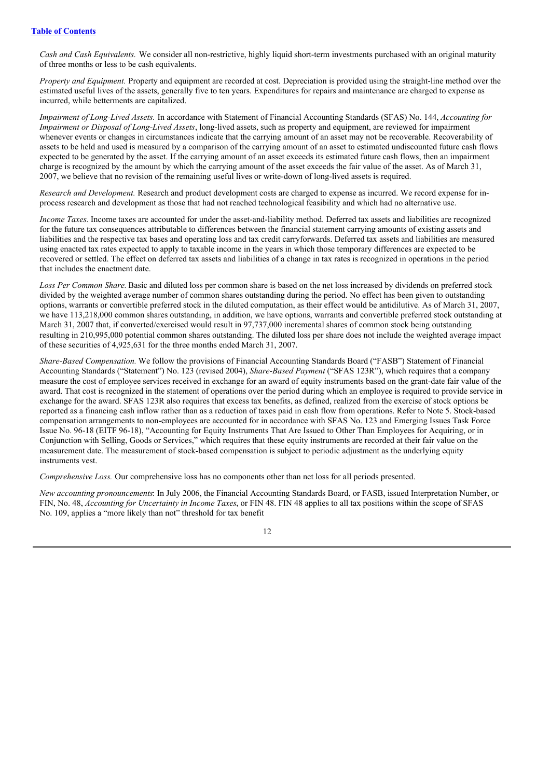*Cash and Cash Equivalents.* We consider all non-restrictive, highly liquid short-term investments purchased with an original maturity of three months or less to be cash equivalents.

*Property and Equipment.* Property and equipment are recorded at cost. Depreciation is provided using the straight-line method over the estimated useful lives of the assets, generally five to ten years. Expenditures for repairs and maintenance are charged to expense as incurred, while betterments are capitalized.

*Impairment of Long-Lived Assets.* In accordance with Statement of Financial Accounting Standards (SFAS) No. 144, *Accounting for Impairment or Disposal of Long-Lived Assets*, long-lived assets, such as property and equipment, are reviewed for impairment whenever events or changes in circumstances indicate that the carrying amount of an asset may not be recoverable. Recoverability of assets to be held and used is measured by a comparison of the carrying amount of an asset to estimated undiscounted future cash flows expected to be generated by the asset. If the carrying amount of an asset exceeds its estimated future cash flows, then an impairment charge is recognized by the amount by which the carrying amount of the asset exceeds the fair value of the asset. As of March 31, 2007, we believe that no revision of the remaining useful lives or write-down of long-lived assets is required.

*Research and Development.* Research and product development costs are charged to expense as incurred. We record expense for inprocess research and development as those that had not reached technological feasibility and which had no alternative use.

*Income Taxes*. Income taxes are accounted for under the asset-and-liability method. Deferred tax assets and liabilities are recognized for the future tax consequences attributable to differences between the financial statement carrying amounts of existing assets and liabilities and the respective tax bases and operating loss and tax credit carryforwards. Deferred tax assets and liabilities are measured using enacted tax rates expected to apply to taxable income in the years in which those temporary differences are expected to be recovered or settled. The effect on deferred tax assets and liabilities of a change in tax rates is recognized in operations in the period that includes the enactment date.

*Loss Per Common Share.* Basic and diluted loss per common share is based on the net loss increased by dividends on preferred stock divided by the weighted average number of common shares outstanding during the period. No effect has been given to outstanding options, warrants or convertible preferred stock in the diluted computation, as their effect would be antidilutive. As of March 31, 2007, we have 113,218,000 common shares outstanding, in addition, we have options, warrants and convertible preferred stock outstanding at March 31, 2007 that, if converted/exercised would result in 97,737,000 incremental shares of common stock being outstanding resulting in 210,995,000 potential common shares outstanding. The diluted loss per share does not include the weighted average impact of these securities of 4,925,631 for the three months ended March 31, 2007.

*Share-Based Compensation.* We follow the provisions of Financial Accounting Standards Board ("FASB") Statement of Financial Accounting Standards ("Statement") No. 123 (revised 2004), *Share-Based Payment* ("SFAS 123R"), which requires that a company measure the cost of employee services received in exchange for an award of equity instruments based on the grant-date fair value of the award. That cost is recognized in the statement of operations over the period during which an employee is required to provide service in exchange for the award. SFAS 123R also requires that excess tax benefits, as defined, realized from the exercise of stock options be reported as a financing cash inflow rather than as a reduction of taxes paid in cash flow from operations. Refer to Note 5. Stock-based compensation arrangements to non-employees are accounted for in accordance with SFAS No. 123 and Emerging Issues Task Force Issue No. 96-18 (EITF 96-18), "Accounting for Equity Instruments That Are Issued to Other Than Employees for Acquiring, or in Conjunction with Selling, Goods or Services," which requires that these equity instruments are recorded at their fair value on the measurement date. The measurement of stock-based compensation is subject to periodic adjustment as the underlying equity instruments vest.

*Comprehensive Loss.* Our comprehensive loss has no components other than net loss for all periods presented.

*New accounting pronouncements*: In July 2006, the Financial Accounting Standards Board, or FASB, issued Interpretation Number, or FIN, No. 48, *Accounting for Uncertainty in Income Taxes*, or FIN 48. FIN 48 applies to all tax positions within the scope of SFAS No. 109, applies a "more likely than not" threshold for tax benefit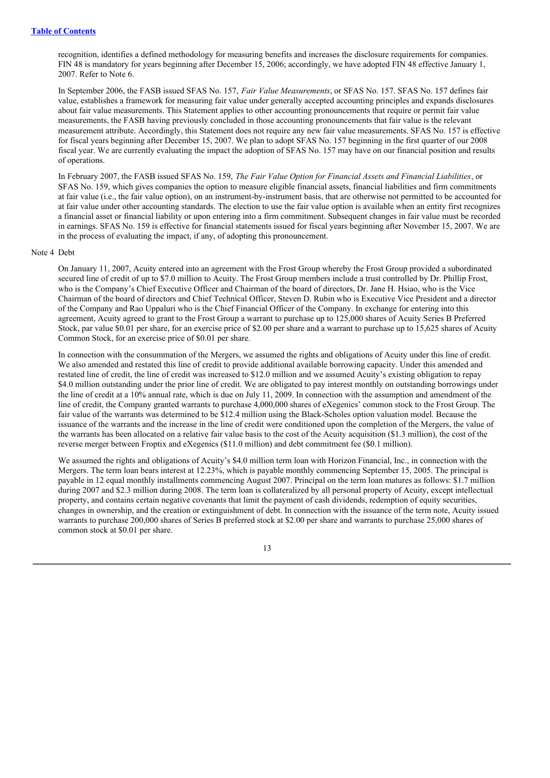recognition, identifies a defined methodology for measuring benefits and increases the disclosure requirements for companies. FIN 48 is mandatory for years beginning after December 15, 2006; accordingly, we have adopted FIN 48 effective January 1, 2007. Refer to Note 6.

In September 2006, the FASB issued SFAS No. 157, *Fair Value Measurements*, or SFAS No. 157. SFAS No. 157 defines fair value, establishes a framework for measuring fair value under generally accepted accounting principles and expands disclosures about fair value measurements. This Statement applies to other accounting pronouncements that require or permit fair value measurements, the FASB having previously concluded in those accounting pronouncements that fair value is the relevant measurement attribute. Accordingly, this Statement does not require any new fair value measurements. SFAS No. 157 is effective for fiscal years beginning after December 15, 2007. We plan to adopt SFAS No. 157 beginning in the first quarter of our 2008 fiscal year. We are currently evaluating the impact the adoption of SFAS No. 157 may have on our financial position and results of operations.

In February 2007, the FASB issued SFAS No. 159, *The Fair Value Option for Financial Assets and Financial Liabilities*, or SFAS No. 159, which gives companies the option to measure eligible financial assets, financial liabilities and firm commitments at fair value (i.e., the fair value option), on an instrument-by-instrument basis, that are otherwise not permitted to be accounted for at fair value under other accounting standards. The election to use the fair value option is available when an entity first recognizes a financial asset or financial liability or upon entering into a firm commitment. Subsequent changes in fair value must be recorded in earnings. SFAS No. 159 is effective for financial statements issued for fiscal years beginning after November 15, 2007. We are in the process of evaluating the impact, if any, of adopting this pronouncement.

#### Note 4 Debt

On January 11, 2007, Acuity entered into an agreement with the Frost Group whereby the Frost Group provided a subordinated secured line of credit of up to \$7.0 million to Acuity. The Frost Group members include a trust controlled by Dr. Phillip Frost, who is the Company's Chief Executive Officer and Chairman of the board of directors, Dr. Jane H. Hsiao, who is the Vice Chairman of the board of directors and Chief Technical Officer, Steven D. Rubin who is Executive Vice President and a director of the Company and Rao Uppaluri who is the Chief Financial Officer of the Company. In exchange for entering into this agreement, Acuity agreed to grant to the Frost Group a warrant to purchase up to 125,000 shares of Acuity Series B Preferred Stock, par value \$0.01 per share, for an exercise price of \$2.00 per share and a warrant to purchase up to 15,625 shares of Acuity Common Stock, for an exercise price of \$0.01 per share.

In connection with the consummation of the Mergers, we assumed the rights and obligations of Acuity under this line of credit. We also amended and restated this line of credit to provide additional available borrowing capacity. Under this amended and restated line of credit, the line of credit was increased to \$12.0 million and we assumed Acuity's existing obligation to repay \$4.0 million outstanding under the prior line of credit. We are obligated to pay interest monthly on outstanding borrowings under the line of credit at a 10% annual rate, which is due on July 11, 2009. In connection with the assumption and amendment of the line of credit, the Company granted warrants to purchase 4,000,000 shares of eXegenics' common stock to the Frost Group. The fair value of the warrants was determined to be \$12.4 million using the Black-Scholes option valuation model. Because the issuance of the warrants and the increase in the line of credit were conditioned upon the completion of the Mergers, the value of the warrants has been allocated on a relative fair value basis to the cost of the Acuity acquisition (\$1.3 million), the cost of the reverse merger between Froptix and eXegenics (\$11.0 million) and debt commitment fee (\$0.1 million).

We assumed the rights and obligations of Acuity's \$4.0 million term loan with Horizon Financial, Inc., in connection with the Mergers. The term loan bears interest at 12.23%, which is payable monthly commencing September 15, 2005. The principal is payable in 12 equal monthly installments commencing August 2007. Principal on the term loan matures as follows: \$1.7 million during 2007 and \$2.3 million during 2008. The term loan is collateralized by all personal property of Acuity, except intellectual property, and contains certain negative covenants that limit the payment of cash dividends, redemption of equity securities, changes in ownership, and the creation or extinguishment of debt. In connection with the issuance of the term note, Acuity issued warrants to purchase 200,000 shares of Series B preferred stock at \$2.00 per share and warrants to purchase 25,000 shares of common stock at \$0.01 per share.

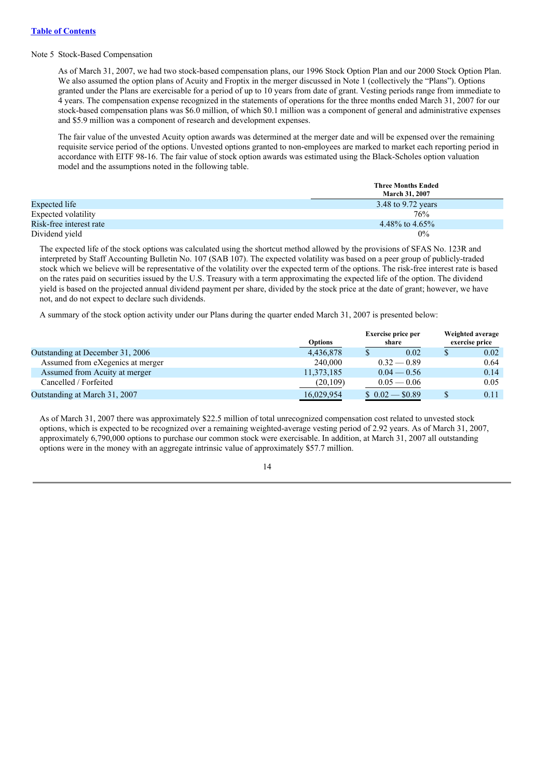# Note 5 Stock-Based Compensation

As of March 31, 2007, we had two stock-based compensation plans, our 1996 Stock Option Plan and our 2000 Stock Option Plan. We also assumed the option plans of Acuity and Froptix in the merger discussed in Note 1 (collectively the "Plans"). Options granted under the Plans are exercisable for a period of up to 10 years from date of grant. Vesting periods range from immediate to 4 years. The compensation expense recognized in the statements of operations for the three months ended March 31, 2007 for our stock-based compensation plans was \$6.0 million, of which \$0.1 million was a component of general and administrative expenses and \$5.9 million was a component of research and development expenses.

The fair value of the unvested Acuity option awards was determined at the merger date and will be expensed over the remaining requisite service period of the options. Unvested options granted to non-employees are marked to market each reporting period in accordance with EITF 98-16. The fair value of stock option awards was estimated using the Black-Scholes option valuation model and the assumptions noted in the following table.

|                         | <b>Three Months Ended</b><br><b>March 31, 2007</b> |
|-------------------------|----------------------------------------------------|
| Expected life           | 3.48 to 9.72 years                                 |
| Expected volatility     | 76%                                                |
| Risk-free interest rate | 4.48% to 4.65%                                     |
| Dividend yield          | $0\%$                                              |

The expected life of the stock options was calculated using the shortcut method allowed by the provisions of SFAS No. 123R and interpreted by Staff Accounting Bulletin No. 107 (SAB 107). The expected volatility was based on a peer group of publicly-traded stock which we believe will be representative of the volatility over the expected term of the options. The risk-free interest rate is based on the rates paid on securities issued by the U.S. Treasury with a term approximating the expected life of the option. The dividend yield is based on the projected annual dividend payment per share, divided by the stock price at the date of grant; however, we have not, and do not expect to declare such dividends.

A summary of the stock option activity under our Plans during the quarter ended March 31, 2007 is presented below:

|                                  | Options    | <b>Exercise price per</b><br>share | Weighted average<br>exercise price |      |
|----------------------------------|------------|------------------------------------|------------------------------------|------|
| Outstanding at December 31, 2006 | 4,436,878  | 0.02                               |                                    | 0.02 |
| Assumed from eXegenics at merger | 240,000    | $0.32 - 0.89$                      |                                    | 0.64 |
| Assumed from Acuity at merger    | 11,373,185 | $0.04 - 0.56$                      |                                    | 0.14 |
| Cancelled / Forfeited            | (20,109)   | $0.05 - 0.06$                      |                                    | 0.05 |
| Outstanding at March 31, 2007    | 16,029,954 | $$0.02 - $0.89$                    | \$                                 | 0.11 |

As of March 31, 2007 there was approximately \$22.5 million of total unrecognized compensation cost related to unvested stock options, which is expected to be recognized over a remaining weighted-average vesting period of 2.92 years. As of March 31, 2007, approximately 6,790,000 options to purchase our common stock were exercisable. In addition, at March 31, 2007 all outstanding options were in the money with an aggregate intrinsic value of approximately \$57.7 million.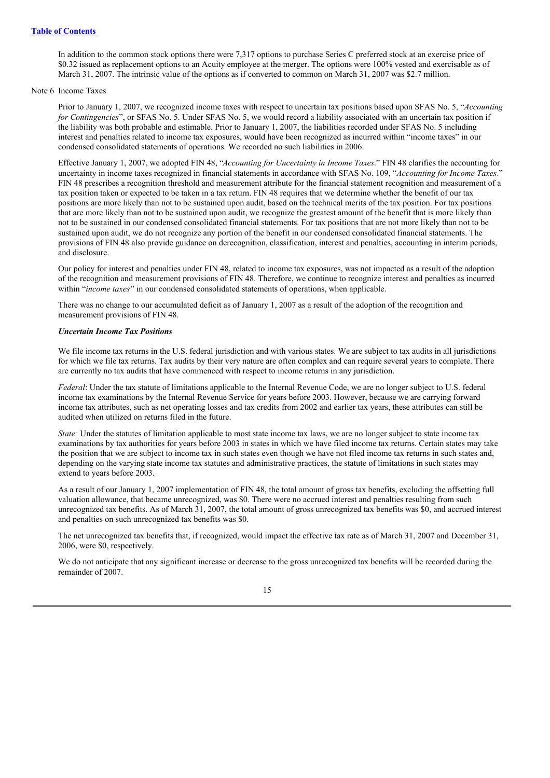In addition to the common stock options there were 7,317 options to purchase Series C preferred stock at an exercise price of \$0.32 issued as replacement options to an Acuity employee at the merger. The options were 100% vested and exercisable as of March 31, 2007. The intrinsic value of the options as if converted to common on March 31, 2007 was \$2.7 million.

Note 6 Income Taxes

Prior to January 1, 2007, we recognized income taxes with respect to uncertain tax positions based upon SFAS No. 5, "*Accounting for Contingencies*", or SFAS No. 5. Under SFAS No. 5, we would record a liability associated with an uncertain tax position if the liability was both probable and estimable. Prior to January 1, 2007, the liabilities recorded under SFAS No. 5 including interest and penalties related to income tax exposures, would have been recognized as incurred within "income taxes" in our condensed consolidated statements of operations. We recorded no such liabilities in 2006.

Effective January 1, 2007, we adopted FIN 48, "*Accounting for Uncertainty in Income Taxes*." FIN 48 clarifies the accounting for uncertainty in income taxes recognized in financial statements in accordance with SFAS No. 109, "*Accounting for Income Taxes*." FIN 48 prescribes a recognition threshold and measurement attribute for the financial statement recognition and measurement of a tax position taken or expected to be taken in a tax return. FIN 48 requires that we determine whether the benefit of our tax positions are more likely than not to be sustained upon audit, based on the technical merits of the tax position. For tax positions that are more likely than not to be sustained upon audit, we recognize the greatest amount of the benefit that is more likely than not to be sustained in our condensed consolidated financial statements. For tax positions that are not more likely than not to be sustained upon audit, we do not recognize any portion of the benefit in our condensed consolidated financial statements. The provisions of FIN 48 also provide guidance on derecognition, classification, interest and penalties, accounting in interim periods, and disclosure.

Our policy for interest and penalties under FIN 48, related to income tax exposures, was not impacted as a result of the adoption of the recognition and measurement provisions of FIN 48. Therefore, we continue to recognize interest and penalties as incurred within "*income taxes*" in our condensed consolidated statements of operations, when applicable.

There was no change to our accumulated deficit as of January 1, 2007 as a result of the adoption of the recognition and measurement provisions of FIN 48.

#### *Uncertain Income Tax Positions*

We file income tax returns in the U.S. federal jurisdiction and with various states. We are subject to tax audits in all jurisdictions for which we file tax returns. Tax audits by their very nature are often complex and can require several years to complete. There are currently no tax audits that have commenced with respect to income returns in any jurisdiction.

*Federal*: Under the tax statute of limitations applicable to the Internal Revenue Code, we are no longer subject to U.S. federal income tax examinations by the Internal Revenue Service for years before 2003. However, because we are carrying forward income tax attributes, such as net operating losses and tax credits from 2002 and earlier tax years, these attributes can still be audited when utilized on returns filed in the future.

*State:* Under the statutes of limitation applicable to most state income tax laws, we are no longer subject to state income tax examinations by tax authorities for years before 2003 in states in which we have filed income tax returns. Certain states may take the position that we are subject to income tax in such states even though we have not filed income tax returns in such states and, depending on the varying state income tax statutes and administrative practices, the statute of limitations in such states may extend to years before 2003.

As a result of our January 1, 2007 implementation of FIN 48, the total amount of gross tax benefits, excluding the offsetting full valuation allowance, that became unrecognized, was \$0. There were no accrued interest and penalties resulting from such unrecognized tax benefits. As of March 31, 2007, the total amount of gross unrecognized tax benefits was \$0, and accrued interest and penalties on such unrecognized tax benefits was \$0.

The net unrecognized tax benefits that, if recognized, would impact the effective tax rate as of March 31, 2007 and December 31, 2006, were \$0, respectively.

We do not anticipate that any significant increase or decrease to the gross unrecognized tax benefits will be recorded during the remainder of 2007.

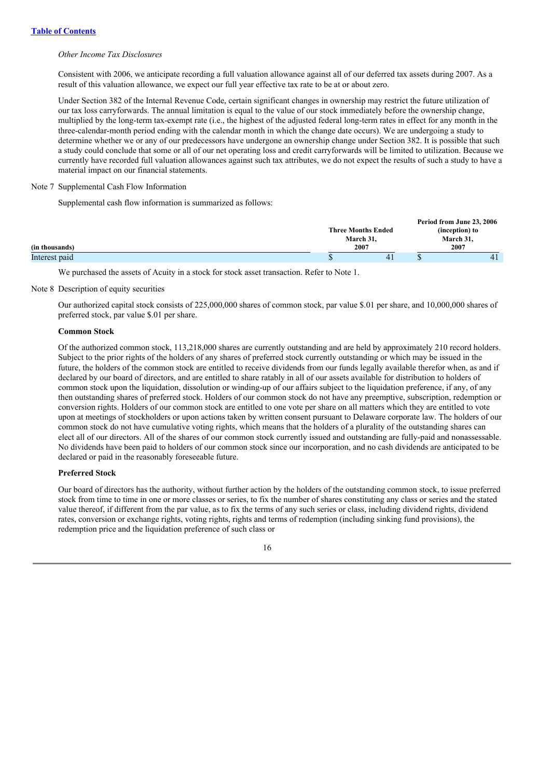# *Other Income Tax Disclosures*

Consistent with 2006, we anticipate recording a full valuation allowance against all of our deferred tax assets during 2007. As a result of this valuation allowance, we expect our full year effective tax rate to be at or about zero.

Under Section 382 of the Internal Revenue Code, certain significant changes in ownership may restrict the future utilization of our tax loss carryforwards. The annual limitation is equal to the value of our stock immediately before the ownership change, multiplied by the long-term tax-exempt rate (i.e., the highest of the adjusted federal long-term rates in effect for any month in the three-calendar-month period ending with the calendar month in which the change date occurs). We are undergoing a study to determine whether we or any of our predecessors have undergone an ownership change under Section 382. It is possible that such a study could conclude that some or all of our net operating loss and credit carryforwards will be limited to utilization. Because we currently have recorded full valuation allowances against such tax attributes, we do not expect the results of such a study to have a material impact on our financial statements.

#### Note 7 Supplemental Cash Flow Information

Supplemental cash flow information is summarized as follows:

|                           |  |                   | Period from June 23, 2006 |
|---------------------------|--|-------------------|---------------------------|
| <b>Three Months Ended</b> |  |                   | (inception) to            |
|                           |  | March 31,         |                           |
|                           |  |                   | 2007                      |
|                           |  |                   |                           |
|                           |  | March 31,<br>2007 |                           |

We purchased the assets of Acuity in a stock for stock asset transaction. Refer to Note 1.

#### Note 8 Description of equity securities

Our authorized capital stock consists of 225,000,000 shares of common stock, par value \$.01 per share, and 10,000,000 shares of preferred stock, par value \$.01 per share.

#### **Common Stock**

Of the authorized common stock, 113,218,000 shares are currently outstanding and are held by approximately 210 record holders. Subject to the prior rights of the holders of any shares of preferred stock currently outstanding or which may be issued in the future, the holders of the common stock are entitled to receive dividends from our funds legally available therefor when, as and if declared by our board of directors, and are entitled to share ratably in all of our assets available for distribution to holders of common stock upon the liquidation, dissolution or winding-up of our affairs subject to the liquidation preference, if any, of any then outstanding shares of preferred stock. Holders of our common stock do not have any preemptive, subscription, redemption or conversion rights. Holders of our common stock are entitled to one vote per share on all matters which they are entitled to vote upon at meetings of stockholders or upon actions taken by written consent pursuant to Delaware corporate law. The holders of our common stock do not have cumulative voting rights, which means that the holders of a plurality of the outstanding shares can elect all of our directors. All of the shares of our common stock currently issued and outstanding are fully-paid and nonassessable. No dividends have been paid to holders of our common stock since our incorporation, and no cash dividends are anticipated to be declared or paid in the reasonably foreseeable future.

#### **Preferred Stock**

Our board of directors has the authority, without further action by the holders of the outstanding common stock, to issue preferred stock from time to time in one or more classes or series, to fix the number of shares constituting any class or series and the stated value thereof, if different from the par value, as to fix the terms of any such series or class, including dividend rights, dividend rates, conversion or exchange rights, voting rights, rights and terms of redemption (including sinking fund provisions), the redemption price and the liquidation preference of such class or

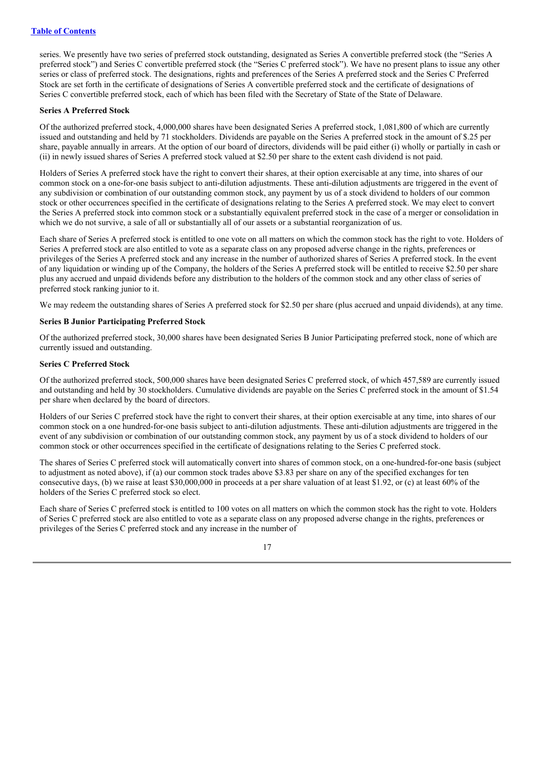series. We presently have two series of preferred stock outstanding, designated as Series A convertible preferred stock (the "Series A preferred stock") and Series C convertible preferred stock (the "Series C preferred stock"). We have no present plans to issue any other series or class of preferred stock. The designations, rights and preferences of the Series A preferred stock and the Series C Preferred Stock are set forth in the certificate of designations of Series A convertible preferred stock and the certificate of designations of Series C convertible preferred stock, each of which has been filed with the Secretary of State of the State of Delaware.

#### **Series A Preferred Stock**

Of the authorized preferred stock, 4,000,000 shares have been designated Series A preferred stock, 1,081,800 of which are currently issued and outstanding and held by 71 stockholders. Dividends are payable on the Series A preferred stock in the amount of \$.25 per share, payable annually in arrears. At the option of our board of directors, dividends will be paid either (i) wholly or partially in cash or (ii) in newly issued shares of Series A preferred stock valued at \$2.50 per share to the extent cash dividend is not paid.

Holders of Series A preferred stock have the right to convert their shares, at their option exercisable at any time, into shares of our common stock on a one-for-one basis subject to anti-dilution adjustments. These anti-dilution adjustments are triggered in the event of any subdivision or combination of our outstanding common stock, any payment by us of a stock dividend to holders of our common stock or other occurrences specified in the certificate of designations relating to the Series A preferred stock. We may elect to convert the Series A preferred stock into common stock or a substantially equivalent preferred stock in the case of a merger or consolidation in which we do not survive, a sale of all or substantially all of our assets or a substantial reorganization of us.

Each share of Series A preferred stock is entitled to one vote on all matters on which the common stock has the right to vote. Holders of Series A preferred stock are also entitled to vote as a separate class on any proposed adverse change in the rights, preferences or privileges of the Series A preferred stock and any increase in the number of authorized shares of Series A preferred stock. In the event of any liquidation or winding up of the Company, the holders of the Series A preferred stock will be entitled to receive \$2.50 per share plus any accrued and unpaid dividends before any distribution to the holders of the common stock and any other class of series of preferred stock ranking junior to it.

We may redeem the outstanding shares of Series A preferred stock for \$2.50 per share (plus accrued and unpaid dividends), at any time.

#### **Series B Junior Participating Preferred Stock**

Of the authorized preferred stock, 30,000 shares have been designated Series B Junior Participating preferred stock, none of which are currently issued and outstanding.

#### **Series C Preferred Stock**

Of the authorized preferred stock, 500,000 shares have been designated Series C preferred stock, of which 457,589 are currently issued and outstanding and held by 30 stockholders. Cumulative dividends are payable on the Series C preferred stock in the amount of \$1.54 per share when declared by the board of directors.

Holders of our Series C preferred stock have the right to convert their shares, at their option exercisable at any time, into shares of our common stock on a one hundred-for-one basis subject to anti-dilution adjustments. These anti-dilution adjustments are triggered in the event of any subdivision or combination of our outstanding common stock, any payment by us of a stock dividend to holders of our common stock or other occurrences specified in the certificate of designations relating to the Series C preferred stock.

The shares of Series C preferred stock will automatically convert into shares of common stock, on a one-hundred-for-one basis (subject to adjustment as noted above), if (a) our common stock trades above \$3.83 per share on any of the specified exchanges for ten consecutive days, (b) we raise at least \$30,000,000 in proceeds at a per share valuation of at least \$1.92, or (c) at least 60% of the holders of the Series C preferred stock so elect.

Each share of Series C preferred stock is entitled to 100 votes on all matters on which the common stock has the right to vote. Holders of Series C preferred stock are also entitled to vote as a separate class on any proposed adverse change in the rights, preferences or privileges of the Series C preferred stock and any increase in the number of

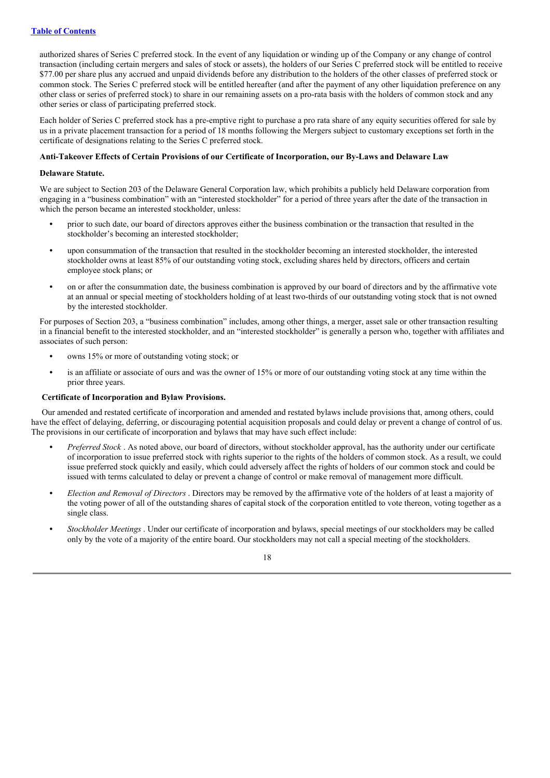authorized shares of Series C preferred stock. In the event of any liquidation or winding up of the Company or any change of control transaction (including certain mergers and sales of stock or assets), the holders of our Series C preferred stock will be entitled to receive \$77.00 per share plus any accrued and unpaid dividends before any distribution to the holders of the other classes of preferred stock or common stock. The Series C preferred stock will be entitled hereafter (and after the payment of any other liquidation preference on any other class or series of preferred stock) to share in our remaining assets on a pro-rata basis with the holders of common stock and any other series or class of participating preferred stock.

Each holder of Series C preferred stock has a pre-emptive right to purchase a pro rata share of any equity securities offered for sale by us in a private placement transaction for a period of 18 months following the Mergers subject to customary exceptions set forth in the certificate of designations relating to the Series C preferred stock.

#### **Anti-Takeover Effects of Certain Provisions of our Certificate of Incorporation, our By-Laws and Delaware Law**

#### **Delaware Statute.**

We are subject to Section 203 of the Delaware General Corporation law, which prohibits a publicly held Delaware corporation from engaging in a "business combination" with an "interested stockholder" for a period of three years after the date of the transaction in which the person became an interested stockholder, unless:

- **•** prior to such date, our board of directors approves either the business combination or the transaction that resulted in the stockholder's becoming an interested stockholder;
- **•** upon consummation of the transaction that resulted in the stockholder becoming an interested stockholder, the interested stockholder owns at least 85% of our outstanding voting stock, excluding shares held by directors, officers and certain employee stock plans; or
- **•** on or after the consummation date, the business combination is approved by our board of directors and by the affirmative vote at an annual or special meeting of stockholders holding of at least two-thirds of our outstanding voting stock that is not owned by the interested stockholder.

For purposes of Section 203, a "business combination" includes, among other things, a merger, asset sale or other transaction resulting in a financial benefit to the interested stockholder, and an "interested stockholder" is generally a person who, together with affiliates and associates of such person:

- owns 15% or more of outstanding voting stock; or
- is an affiliate or associate of ours and was the owner of 15% or more of our outstanding voting stock at any time within the prior three years.

#### **Certificate of Incorporation and Bylaw Provisions.**

Our amended and restated certificate of incorporation and amended and restated bylaws include provisions that, among others, could have the effect of delaying, deferring, or discouraging potential acquisition proposals and could delay or prevent a change of control of us. The provisions in our certificate of incorporation and bylaws that may have such effect include:

- **•** *Preferred Stock* . As noted above, our board of directors, without stockholder approval, has the authority under our certificate of incorporation to issue preferred stock with rights superior to the rights of the holders of common stock. As a result, we could issue preferred stock quickly and easily, which could adversely affect the rights of holders of our common stock and could be issued with terms calculated to delay or prevent a change of control or make removal of management more difficult.
- **•** *Election and Removal of Directors* . Directors may be removed by the affirmative vote of the holders of at least a majority of the voting power of all of the outstanding shares of capital stock of the corporation entitled to vote thereon, voting together as a single class.
- **•** *Stockholder Meetings* . Under our certificate of incorporation and bylaws, special meetings of our stockholders may be called only by the vote of a majority of the entire board. Our stockholders may not call a special meeting of the stockholders.

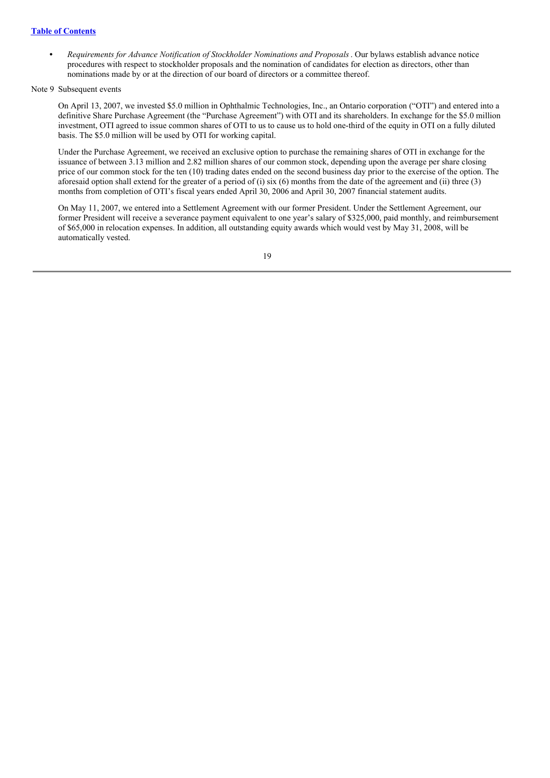**•** *Requirements for Advance Notification of Stockholder Nominations and Proposals*. Our bylaws establish advance notice procedures with respect to stockholder proposals and the nomination of candidates for election as directors, other than nominations made by or at the direction of our board of directors or a committee thereof.

Note 9 Subsequent events

On April 13, 2007, we invested \$5.0 million in Ophthalmic Technologies, Inc., an Ontario corporation ("OTI") and entered into a definitive Share Purchase Agreement (the "Purchase Agreement") with OTI and its shareholders. In exchange for the \$5.0 million investment, OTI agreed to issue common shares of OTI to us to cause us to hold one-third of the equity in OTI on a fully diluted basis. The \$5.0 million will be used by OTI for working capital.

Under the Purchase Agreement, we received an exclusive option to purchase the remaining shares of OTI in exchange for the issuance of between 3.13 million and 2.82 million shares of our common stock, depending upon the average per share closing price of our common stock for the ten (10) trading dates ended on the second business day prior to the exercise of the option. The aforesaid option shall extend for the greater of a period of (i) six (6) months from the date of the agreement and (ii) three (3) months from completion of OTI's fiscal years ended April 30, 2006 and April 30, 2007 financial statement audits.

On May 11, 2007, we entered into a Settlement Agreement with our former President. Under the Settlement Agreement, our former President will receive a severance payment equivalent to one year's salary of \$325,000, paid monthly, and reimbursement of \$65,000 in relocation expenses. In addition, all outstanding equity awards which would vest by May 31, 2008, will be automatically vested.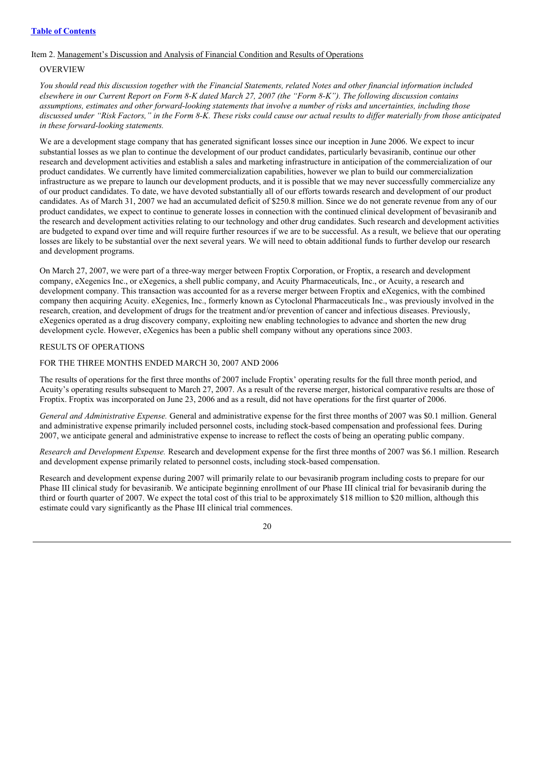# Item 2. Management's Discussion and Analysis of Financial Condition and Results of Operations

### OVERVIEW

You should read this discussion together with the Financial Statements, related Notes and other financial information included elsewhere in our Current Report on Form 8-K dated March 27, 2007 (the "Form 8-K"). The following discussion contains assumptions, estimates and other forward-looking statements that involve a number of risks and uncertainties, including those discussed under "Risk Factors," in the Form 8-K. These risks could cause our actual results to differ materially from those anticipated *in these forward-looking statements.*

We are a development stage company that has generated significant losses since our inception in June 2006. We expect to incur substantial losses as we plan to continue the development of our product candidates, particularly bevasiranib, continue our other research and development activities and establish a sales and marketing infrastructure in anticipation of the commercialization of our product candidates. We currently have limited commercialization capabilities, however we plan to build our commercialization infrastructure as we prepare to launch our development products, and it is possible that we may never successfully commercialize any of our product candidates. To date, we have devoted substantially all of our efforts towards research and development of our product candidates. As of March 31, 2007 we had an accumulated deficit of \$250.8 million. Since we do not generate revenue from any of our product candidates, we expect to continue to generate losses in connection with the continued clinical development of bevasiranib and the research and development activities relating to our technology and other drug candidates. Such research and development activities are budgeted to expand over time and will require further resources if we are to be successful. As a result, we believe that our operating losses are likely to be substantial over the next several years. We will need to obtain additional funds to further develop our research and development programs.

On March 27, 2007, we were part of a three-way merger between Froptix Corporation, or Froptix, a research and development company, eXegenics Inc., or eXegenics, a shell public company, and Acuity Pharmaceuticals, Inc., or Acuity, a research and development company. This transaction was accounted for as a reverse merger between Froptix and eXegenics, with the combined company then acquiring Acuity. eXegenics, Inc., formerly known as Cytoclonal Pharmaceuticals Inc., was previously involved in the research, creation, and development of drugs for the treatment and/or prevention of cancer and infectious diseases. Previously, eXegenics operated as a drug discovery company, exploiting new enabling technologies to advance and shorten the new drug development cycle. However, eXegenics has been a public shell company without any operations since 2003.

### RESULTS OF OPERATIONS

### FOR THE THREE MONTHS ENDED MARCH 30, 2007 AND 2006

The results of operations for the first three months of 2007 include Froptix' operating results for the full three month period, and Acuity's operating results subsequent to March 27, 2007. As a result of the reverse merger, historical comparative results are those of Froptix. Froptix was incorporated on June 23, 2006 and as a result, did not have operations for the first quarter of 2006.

*General and Administrative Expense.* General and administrative expense for the first three months of 2007 was \$0.1 million. General and administrative expense primarily included personnel costs, including stock-based compensation and professional fees. During 2007, we anticipate general and administrative expense to increase to reflect the costs of being an operating public company.

*Research and Development Expense.* Research and development expense for the first three months of 2007 was \$6.1 million. Research and development expense primarily related to personnel costs, including stock-based compensation.

Research and development expense during 2007 will primarily relate to our bevasiranib program including costs to prepare for our Phase III clinical study for bevasiranib. We anticipate beginning enrollment of our Phase III clinical trial for bevasiranib during the third or fourth quarter of 2007. We expect the total cost of this trial to be approximately \$18 million to \$20 million, although this estimate could vary significantly as the Phase III clinical trial commences.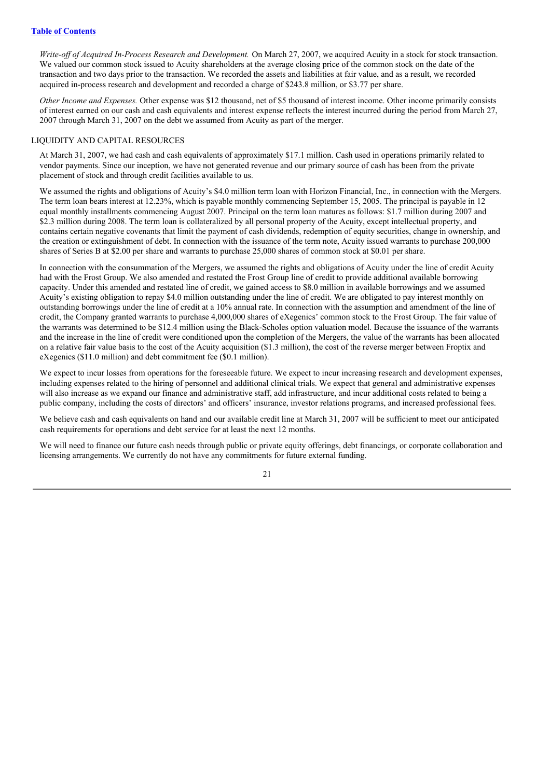*Write-of of Acquired In-Process Research and Development.* On March 27, 2007, we acquired Acuity in a stock for stock transaction. We valued our common stock issued to Acuity shareholders at the average closing price of the common stock on the date of the transaction and two days prior to the transaction. We recorded the assets and liabilities at fair value, and as a result, we recorded acquired in-process research and development and recorded a charge of \$243.8 million, or \$3.77 per share.

*Other Income and Expenses.* Other expense was \$12 thousand, net of \$5 thousand of interest income. Other income primarily consists of interest earned on our cash and cash equivalents and interest expense reflects the interest incurred during the period from March 27, 2007 through March 31, 2007 on the debt we assumed from Acuity as part of the merger.

#### LIQUIDITY AND CAPITAL RESOURCES

At March 31, 2007, we had cash and cash equivalents of approximately \$17.1 million. Cash used in operations primarily related to vendor payments. Since our inception, we have not generated revenue and our primary source of cash has been from the private placement of stock and through credit facilities available to us.

We assumed the rights and obligations of Acuity's \$4.0 million term loan with Horizon Financial, Inc., in connection with the Mergers. The term loan bears interest at 12.23%, which is payable monthly commencing September 15, 2005. The principal is payable in 12 equal monthly installments commencing August 2007. Principal on the term loan matures as follows: \$1.7 million during 2007 and \$2.3 million during 2008. The term loan is collateralized by all personal property of the Acuity, except intellectual property, and contains certain negative covenants that limit the payment of cash dividends, redemption of equity securities, change in ownership, and the creation or extinguishment of debt. In connection with the issuance of the term note, Acuity issued warrants to purchase 200,000 shares of Series B at \$2.00 per share and warrants to purchase 25,000 shares of common stock at \$0.01 per share.

In connection with the consummation of the Mergers, we assumed the rights and obligations of Acuity under the line of credit Acuity had with the Frost Group. We also amended and restated the Frost Group line of credit to provide additional available borrowing capacity. Under this amended and restated line of credit, we gained access to \$8.0 million in available borrowings and we assumed Acuity's existing obligation to repay \$4.0 million outstanding under the line of credit. We are obligated to pay interest monthly on outstanding borrowings under the line of credit at a 10% annual rate. In connection with the assumption and amendment of the line of credit, the Company granted warrants to purchase 4,000,000 shares of eXegenics' common stock to the Frost Group. The fair value of the warrants was determined to be \$12.4 million using the Black-Scholes option valuation model. Because the issuance of the warrants and the increase in the line of credit were conditioned upon the completion of the Mergers, the value of the warrants has been allocated on a relative fair value basis to the cost of the Acuity acquisition (\$1.3 million), the cost of the reverse merger between Froptix and eXegenics (\$11.0 million) and debt commitment fee (\$0.1 million).

We expect to incur losses from operations for the foreseeable future. We expect to incur increasing research and development expenses, including expenses related to the hiring of personnel and additional clinical trials. We expect that general and administrative expenses will also increase as we expand our finance and administrative staff, add infrastructure, and incur additional costs related to being a public company, including the costs of directors' and officers' insurance, investor relations programs, and increased professional fees.

We believe cash and cash equivalents on hand and our available credit line at March 31, 2007 will be sufficient to meet our anticipated cash requirements for operations and debt service for at least the next 12 months.

We will need to finance our future cash needs through public or private equity offerings, debt financings, or corporate collaboration and licensing arrangements. We currently do not have any commitments for future external funding.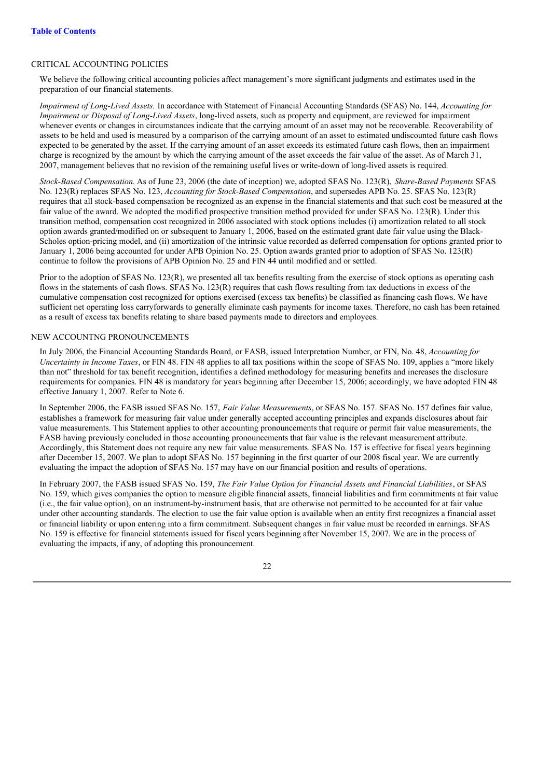#### CRITICAL ACCOUNTING POLICIES

We believe the following critical accounting policies affect management's more significant judgments and estimates used in the preparation of our financial statements.

*Impairment of Long-Lived Assets.* In accordance with Statement of Financial Accounting Standards (SFAS) No. 144, *Accounting for Impairment or Disposal of Long-Lived Assets*, long-lived assets, such as property and equipment, are reviewed for impairment whenever events or changes in circumstances indicate that the carrying amount of an asset may not be recoverable. Recoverability of assets to be held and used is measured by a comparison of the carrying amount of an asset to estimated undiscounted future cash flows expected to be generated by the asset. If the carrying amount of an asset exceeds its estimated future cash flows, then an impairment charge is recognized by the amount by which the carrying amount of the asset exceeds the fair value of the asset. As of March 31, 2007, management believes that no revision of the remaining useful lives or write-down of long-lived assets is required.

*Stock-Based Compensation.* As of June 23, 2006 (the date of inception) we, adopted SFAS No. 123(R), *Share-Based Payments* SFAS No. 123(R) replaces SFAS No. 123, *Accounting for Stock-Based Compensation*, and supersedes APB No. 25. SFAS No. 123(R) requires that all stock-based compensation be recognized as an expense in the financial statements and that such cost be measured at the fair value of the award. We adopted the modified prospective transition method provided for under SFAS No. 123(R). Under this transition method, compensation cost recognized in 2006 associated with stock options includes (i) amortization related to all stock option awards granted/modified on or subsequent to January 1, 2006, based on the estimated grant date fair value using the Black-Scholes option-pricing model, and (ii) amortization of the intrinsic value recorded as deferred compensation for options granted prior to January 1, 2006 being accounted for under APB Opinion No. 25. Option awards granted prior to adoption of SFAS No. 123(R) continue to follow the provisions of APB Opinion No. 25 and FIN 44 until modified and or settled.

Prior to the adoption of SFAS No. 123(R), we presented all tax benefits resulting from the exercise of stock options as operating cash flows in the statements of cash flows. SFAS No. 123(R) requires that cash flows resulting from tax deductions in excess of the cumulative compensation cost recognized for options exercised (excess tax benefits) be classified as financing cash flows. We have sufficient net operating loss carryforwards to generally eliminate cash payments for income taxes. Therefore, no cash has been retained as a result of excess tax benefits relating to share based payments made to directors and employees.

#### NEW ACCOUNTNG PRONOUNCEMENTS

In July 2006, the Financial Accounting Standards Board, or FASB, issued Interpretation Number, or FIN, No. 48, *Accounting for Uncertainty in <i>Income Taxes*, or FIN 48. FIN 48 applies to all tax positions within the scope of SFAS No. 109, applies a "more likely than not" threshold for tax benefit recognition, identifies a defined methodology for measuring benefits and increases the disclosure requirements for companies. FIN 48 is mandatory for years beginning after December 15, 2006; accordingly, we have adopted FIN 48 effective January 1, 2007. Refer to Note 6.

In September 2006, the FASB issued SFAS No. 157, *Fair Value Measurements*, or SFAS No. 157. SFAS No. 157 defines fair value, establishes a framework for measuring fair value under generally accepted accounting principles and expands disclosures about fair value measurements. This Statement applies to other accounting pronouncements that require or permit fair value measurements, the FASB having previously concluded in those accounting pronouncements that fair value is the relevant measurement attribute. Accordingly, this Statement does not require any new fair value measurements. SFAS No. 157 is effective for fiscal years beginning after December 15, 2007. We plan to adopt SFAS No. 157 beginning in the first quarter of our 2008 fiscal year. We are currently evaluating the impact the adoption of SFAS No. 157 may have on our financial position and results of operations.

In February 2007, the FASB issued SFAS No. 159, *The Fair Value Option for Financial Assets and Financial Liabilities*, or SFAS No. 159, which gives companies the option to measure eligible financial assets, financial liabilities and firm commitments at fair value (i.e., the fair value option), on an instrument-by-instrument basis, that are otherwise not permitted to be accounted for at fair value under other accounting standards. The election to use the fair value option is available when an entity first recognizes a financial asset or financial liability or upon entering into a firm commitment. Subsequent changes in fair value must be recorded in earnings. SFAS No. 159 is effective for financial statements issued for fiscal years beginning after November 15, 2007. We are in the process of evaluating the impacts, if any, of adopting this pronouncement.

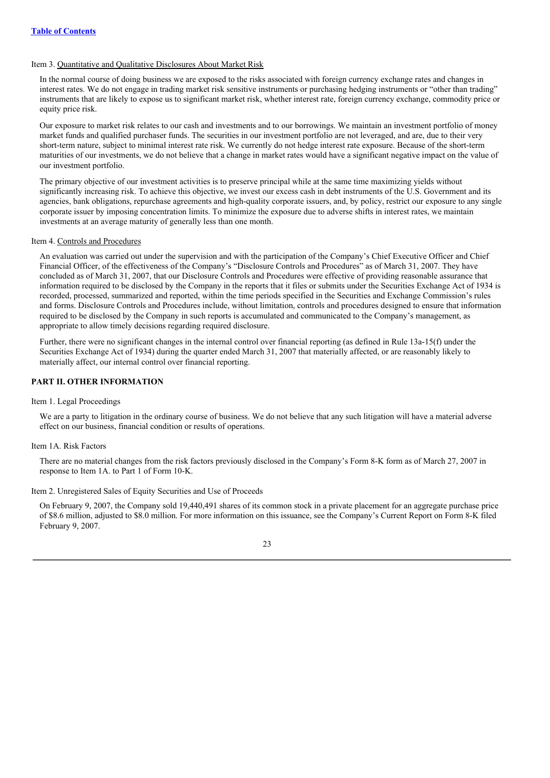#### Item 3. Quantitative and Qualitative Disclosures About Market Risk

In the normal course of doing business we are exposed to the risks associated with foreign currency exchange rates and changes in interest rates. We do not engage in trading market risk sensitive instruments or purchasing hedging instruments or "other than trading" instruments that are likely to expose us to significant market risk, whether interest rate, foreign currency exchange, commodity price or equity price risk.

Our exposure to market risk relates to our cash and investments and to our borrowings. We maintain an investment portfolio of money market funds and qualified purchaser funds. The securities in our investment portfolio are not leveraged, and are, due to their very short-term nature, subject to minimal interest rate risk. We currently do not hedge interest rate exposure. Because of the short-term maturities of our investments, we do not believe that a change in market rates would have a significant negative impact on the value of our investment portfolio.

The primary objective of our investment activities is to preserve principal while at the same time maximizing yields without significantly increasing risk. To achieve this objective, we invest our excess cash in debt instruments of the U.S. Government and its agencies, bank obligations, repurchase agreements and high-quality corporate issuers, and, by policy, restrict our exposure to any single corporate issuer by imposing concentration limits. To minimize the exposure due to adverse shifts in interest rates, we maintain investments at an average maturity of generally less than one month.

#### Item 4. Controls and Procedures

An evaluation was carried out under the supervision and with the participation of the Company's Chief Executive Officer and Chief Financial Officer, of the effectiveness of the Company's "Disclosure Controls and Procedures" as of March 31, 2007. They have concluded as of March 31, 2007, that our Disclosure Controls and Procedures were effective of providing reasonable assurance that information required to be disclosed by the Company in the reports that it files or submits under the Securities Exchange Act of 1934 is recorded, processed, summarized and reported, within the time periods specified in the Securities and Exchange Commission's rules and forms. Disclosure Controls and Procedures include, without limitation, controls and procedures designed to ensure that information required to be disclosed by the Company in such reports is accumulated and communicated to the Company's management, as appropriate to allow timely decisions regarding required disclosure.

Further, there were no significant changes in the internal control over financial reporting (as defined in Rule 13a-15(f) under the Securities Exchange Act of 1934) during the quarter ended March 31, 2007 that materially affected, or are reasonably likely to materially affect, our internal control over financial reporting.

## **PART II. OTHER INFORMATION**

#### Item 1. Legal Proceedings

We are a party to litigation in the ordinary course of business. We do not believe that any such litigation will have a material adverse effect on our business, financial condition or results of operations.

#### Item 1A. Risk Factors

There are no material changes from the risk factors previously disclosed in the Company's Form 8-K form as of March 27, 2007 in response to Item 1A. to Part 1 of Form 10-K.

#### Item 2. Unregistered Sales of Equity Securities and Use of Proceeds

On February 9, 2007, the Company sold 19,440,491 shares of its common stock in a private placement for an aggregate purchase price of \$8.6 million, adjusted to \$8.0 million. For more information on this issuance, see the Company's Current Report on Form 8-K filed February 9, 2007.

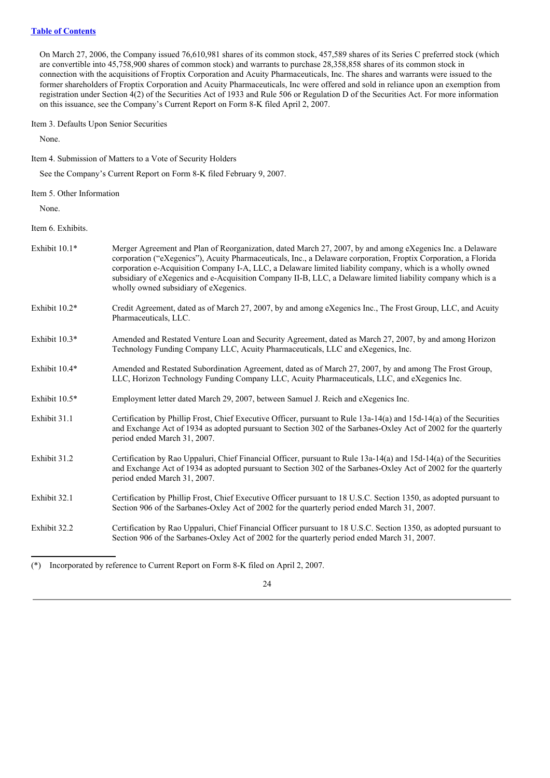#### **Table of Contents**

On March 27, 2006, the Company issued 76,610,981 shares of its common stock, 457,589 shares of its Series C preferred stock (which are convertible into 45,758,900 shares of common stock) and warrants to purchase 28,358,858 shares of its common stock in connection with the acquisitions of Froptix Corporation and Acuity Pharmaceuticals, Inc. The shares and warrants were issued to the former shareholders of Froptix Corporation and Acuity Pharmaceuticals, Inc were offered and sold in reliance upon an exemption from registration under Section 4(2) of the Securities Act of 1933 and Rule 506 or Regulation D of the Securities Act. For more information on this issuance, see the Company's Current Report on Form 8-K filed April 2, 2007.

Item 3. Defaults Upon Senior Securities

None.

Item 4. Submission of Matters to a Vote of Security Holders

See the Company's Current Report on Form 8-K filed February 9, 2007.

Item 5. Other Information

None.

Item 6. Exhibits.

| Exhibit $10.1*$ | Merger Agreement and Plan of Reorganization, dated March 27, 2007, by and among eXegenics Inc. a Delaware<br>corporation ("eXegenics"), Acuity Pharmaceuticals, Inc., a Delaware corporation, Froptix Corporation, a Florida<br>corporation e-Acquisition Company I-A, LLC, a Delaware limited liability company, which is a wholly owned<br>subsidiary of eXegenics and e-Acquisition Company II-B, LLC, a Delaware limited liability company which is a<br>wholly owned subsidiary of eXegenics. |
|-----------------|----------------------------------------------------------------------------------------------------------------------------------------------------------------------------------------------------------------------------------------------------------------------------------------------------------------------------------------------------------------------------------------------------------------------------------------------------------------------------------------------------|
| Exhibit 10.2*   | Credit Agreement, dated as of March 27, 2007, by and among eXegenics Inc., The Frost Group, LLC, and Acuity<br>Pharmaceuticals, LLC.                                                                                                                                                                                                                                                                                                                                                               |
| Exhibit 10.3*   | Amended and Restated Venture Loan and Security Agreement, dated as March 27, 2007, by and among Horizon<br>Technology Funding Company LLC, Acuity Pharmaceuticals, LLC and eXegenics, Inc.                                                                                                                                                                                                                                                                                                         |
| Exhibit 10.4*   | Amended and Restated Subordination Agreement, dated as of March 27, 2007, by and among The Frost Group,<br>LLC, Horizon Technology Funding Company LLC, Acuity Pharmaceuticals, LLC, and eXegenics Inc.                                                                                                                                                                                                                                                                                            |
| Exhibit $10.5*$ | Employment letter dated March 29, 2007, between Samuel J. Reich and eXegenics Inc.                                                                                                                                                                                                                                                                                                                                                                                                                 |
| Exhibit 31.1    | Certification by Phillip Frost, Chief Executive Officer, pursuant to Rule 13a-14(a) and 15d-14(a) of the Securities<br>and Exchange Act of 1934 as adopted pursuant to Section 302 of the Sarbanes-Oxley Act of 2002 for the quarterly<br>period ended March 31, 2007.                                                                                                                                                                                                                             |
| Exhibit 31.2    | Certification by Rao Uppaluri, Chief Financial Officer, pursuant to Rule 13a-14(a) and 15d-14(a) of the Securities<br>and Exchange Act of 1934 as adopted pursuant to Section 302 of the Sarbanes-Oxley Act of 2002 for the quarterly<br>period ended March 31, 2007.                                                                                                                                                                                                                              |
| Exhibit 32.1    | Certification by Phillip Frost, Chief Executive Officer pursuant to 18 U.S.C. Section 1350, as adopted pursuant to<br>Section 906 of the Sarbanes-Oxley Act of 2002 for the quarterly period ended March 31, 2007.                                                                                                                                                                                                                                                                                 |
| Exhibit 32.2    | Certification by Rao Uppaluri, Chief Financial Officer pursuant to 18 U.S.C. Section 1350, as adopted pursuant to<br>Section 906 of the Sarbanes-Oxley Act of 2002 for the quarterly period ended March 31, 2007.                                                                                                                                                                                                                                                                                  |
|                 |                                                                                                                                                                                                                                                                                                                                                                                                                                                                                                    |

(\*) Incorporated by reference to Current Report on Form 8-K filed on April 2, 2007.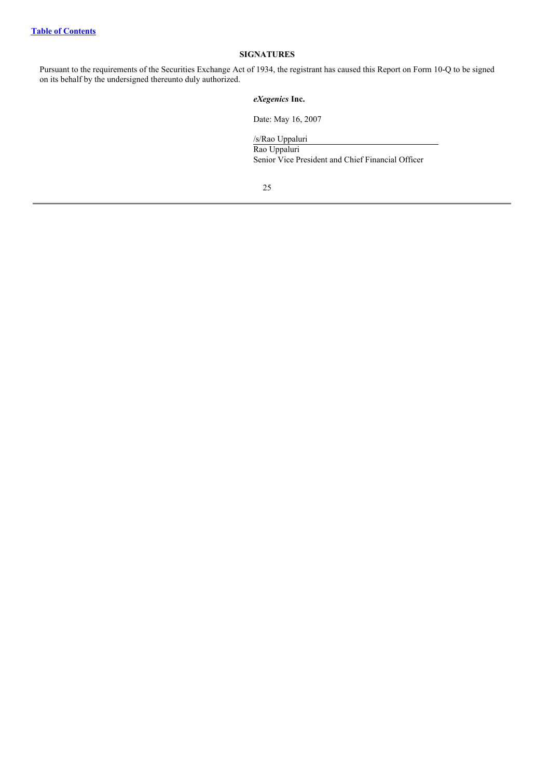# **SIGNATURES**

Pursuant to the requirements of the Securities Exchange Act of 1934, the registrant has caused this Report on Form 10-Q to be signed on its behalf by the undersigned thereunto duly authorized.

# *eXegenics* **Inc.**

Date: May 16, 2007

/s/Rao Uppaluri Rao Uppaluri Senior Vice President and Chief Financial Officer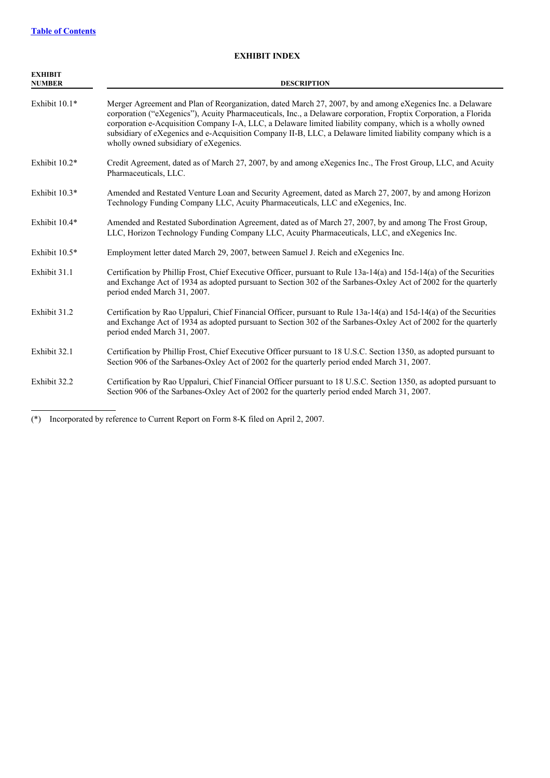# **EXHIBIT INDEX**

| <b>EXHIBIT</b><br><b>NUMBER</b> | <b>DESCRIPTION</b>                                                                                                                                                                                                                                                                                                                                                                                                                                                                                 |
|---------------------------------|----------------------------------------------------------------------------------------------------------------------------------------------------------------------------------------------------------------------------------------------------------------------------------------------------------------------------------------------------------------------------------------------------------------------------------------------------------------------------------------------------|
| Exhibit $10.1*$                 | Merger Agreement and Plan of Reorganization, dated March 27, 2007, by and among eXegenics Inc. a Delaware<br>corporation ("eXegenics"), Acuity Pharmaceuticals, Inc., a Delaware corporation, Froptix Corporation, a Florida<br>corporation e-Acquisition Company I-A, LLC, a Delaware limited liability company, which is a wholly owned<br>subsidiary of eXegenics and e-Acquisition Company II-B, LLC, a Delaware limited liability company which is a<br>wholly owned subsidiary of eXegenics. |
| Exhibit 10.2*                   | Credit Agreement, dated as of March 27, 2007, by and among eXegenics Inc., The Frost Group, LLC, and Acuity<br>Pharmaceuticals, LLC.                                                                                                                                                                                                                                                                                                                                                               |
| Exhibit 10.3*                   | Amended and Restated Venture Loan and Security Agreement, dated as March 27, 2007, by and among Horizon<br>Technology Funding Company LLC, Acuity Pharmaceuticals, LLC and eXegenics, Inc.                                                                                                                                                                                                                                                                                                         |
| Exhibit 10.4*                   | Amended and Restated Subordination Agreement, dated as of March 27, 2007, by and among The Frost Group,<br>LLC, Horizon Technology Funding Company LLC, Acuity Pharmaceuticals, LLC, and eXegenics Inc.                                                                                                                                                                                                                                                                                            |
| Exhibit $10.5*$                 | Employment letter dated March 29, 2007, between Samuel J. Reich and eXegenics Inc.                                                                                                                                                                                                                                                                                                                                                                                                                 |
| Exhibit 31.1                    | Certification by Phillip Frost, Chief Executive Officer, pursuant to Rule 13a-14(a) and 15d-14(a) of the Securities<br>and Exchange Act of 1934 as adopted pursuant to Section 302 of the Sarbanes-Oxley Act of 2002 for the quarterly<br>period ended March 31, 2007.                                                                                                                                                                                                                             |
| Exhibit 31.2                    | Certification by Rao Uppaluri, Chief Financial Officer, pursuant to Rule 13a-14(a) and 15d-14(a) of the Securities<br>and Exchange Act of 1934 as adopted pursuant to Section 302 of the Sarbanes-Oxley Act of 2002 for the quarterly<br>period ended March 31, 2007.                                                                                                                                                                                                                              |
| Exhibit 32.1                    | Certification by Phillip Frost, Chief Executive Officer pursuant to 18 U.S.C. Section 1350, as adopted pursuant to<br>Section 906 of the Sarbanes-Oxley Act of 2002 for the quarterly period ended March 31, 2007.                                                                                                                                                                                                                                                                                 |
| Exhibit 32.2                    | Certification by Rao Uppaluri, Chief Financial Officer pursuant to 18 U.S.C. Section 1350, as adopted pursuant to<br>Section 906 of the Sarbanes-Oxley Act of 2002 for the quarterly period ended March 31, 2007.                                                                                                                                                                                                                                                                                  |

(\*) Incorporated by reference to Current Report on Form 8-K filed on April 2, 2007.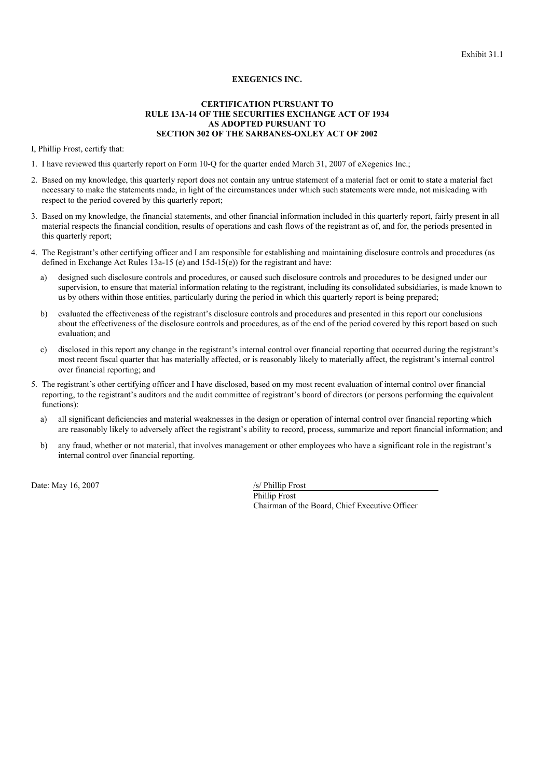#### **EXEGENICS INC.**

#### **CERTIFICATION PURSUANT TO RULE 13A-14 OF THE SECURITIES EXCHANGE ACT OF 1934 AS ADOPTED PURSUANT TO SECTION 302 OF THE SARBANES-OXLEY ACT OF 2002**

I, Phillip Frost, certify that:

1. I have reviewed this quarterly report on Form 10-Q for the quarter ended March 31, 2007 of eXegenics Inc.;

- 2. Based on my knowledge, this quarterly report does not contain any untrue statement of a material fact or omit to state a material fact necessary to make the statements made, in light of the circumstances under which such statements were made, not misleading with respect to the period covered by this quarterly report;
- 3. Based on my knowledge, the financial statements, and other financial information included in this quarterly report, fairly present in all material respects the financial condition, results of operations and cash flows of the registrant as of, and for, the periods presented in this quarterly report;
- 4. The Registrant's other certifying officer and I am responsible for establishing and maintaining disclosure controls and procedures (as defined in Exchange Act Rules 13a-15 (e) and 15d-15(e)) for the registrant and have:
	- a) designed such disclosure controls and procedures, or caused such disclosure controls and procedures to be designed under our supervision, to ensure that material information relating to the registrant, including its consolidated subsidiaries, is made known to us by others within those entities, particularly during the period in which this quarterly report is being prepared;
	- b) evaluated the effectiveness of the registrant's disclosure controls and procedures and presented in this report our conclusions about the effectiveness of the disclosure controls and procedures, as of the end of the period covered by this report based on such evaluation; and
	- c) disclosed in this report any change in the registrant's internal control over financial reporting that occurred during the registrant's most recent fiscal quarter that has materially affected, or is reasonably likely to materially affect, the registrant's internal control over financial reporting; and
- 5. The registrant's other certifying officer and I have disclosed, based on my most recent evaluation of internal control over financial reporting, to the registrant's auditors and the audit committee of registrant's board of directors (or persons performing the equivalent functions):
	- a) all significant deficiencies and material weaknesses in the design or operation of internal control over financial reporting which are reasonably likely to adversely affect the registrant's ability to record, process, summarize and report financial information; and
	- b) any fraud, whether or not material, that involves management or other employees who have a significant role in the registrant's internal control over financial reporting.

Date: May 16, 2007 /s/ Phillip Frost

Phillip Frost Chairman of the Board, Chief Executive Officer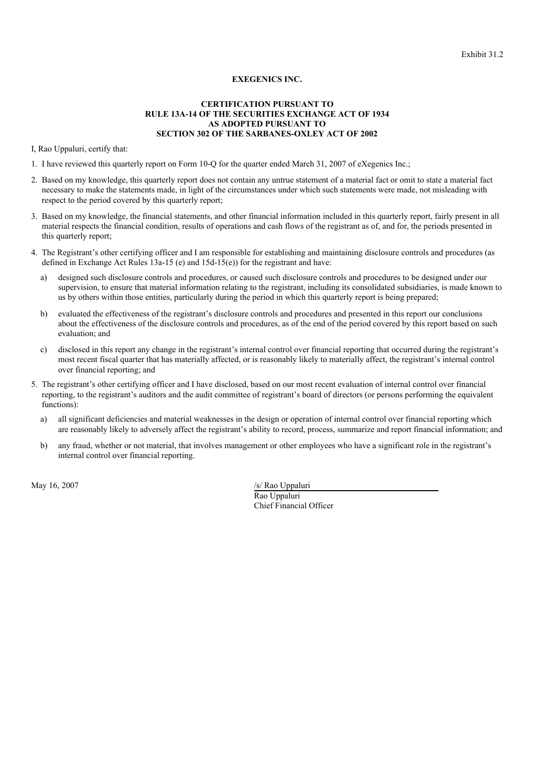#### **EXEGENICS INC.**

#### **CERTIFICATION PURSUANT TO RULE 13A-14 OF THE SECURITIES EXCHANGE ACT OF 1934 AS ADOPTED PURSUANT TO SECTION 302 OF THE SARBANES-OXLEY ACT OF 2002**

I, Rao Uppaluri, certify that:

1. I have reviewed this quarterly report on Form 10-Q for the quarter ended March 31, 2007 of eXegenics Inc.;

- 2. Based on my knowledge, this quarterly report does not contain any untrue statement of a material fact or omit to state a material fact necessary to make the statements made, in light of the circumstances under which such statements were made, not misleading with respect to the period covered by this quarterly report;
- 3. Based on my knowledge, the financial statements, and other financial information included in this quarterly report, fairly present in all material respects the financial condition, results of operations and cash flows of the registrant as of, and for, the periods presented in this quarterly report;
- 4. The Registrant's other certifying officer and I am responsible for establishing and maintaining disclosure controls and procedures (as defined in Exchange Act Rules 13a-15 (e) and 15d-15(e)) for the registrant and have:
	- a) designed such disclosure controls and procedures, or caused such disclosure controls and procedures to be designed under our supervision, to ensure that material information relating to the registrant, including its consolidated subsidiaries, is made known to us by others within those entities, particularly during the period in which this quarterly report is being prepared;
	- b) evaluated the effectiveness of the registrant's disclosure controls and procedures and presented in this report our conclusions about the effectiveness of the disclosure controls and procedures, as of the end of the period covered by this report based on such evaluation; and
	- c) disclosed in this report any change in the registrant's internal control over financial reporting that occurred during the registrant's most recent fiscal quarter that has materially affected, or is reasonably likely to materially affect, the registrant's internal control over financial reporting; and
- 5. The registrant's other certifying officer and I have disclosed, based on our most recent evaluation of internal control over financial reporting, to the registrant's auditors and the audit committee of registrant's board of directors (or persons performing the equivalent functions):
	- a) all significant deficiencies and material weaknesses in the design or operation of internal control over financial reporting which are reasonably likely to adversely affect the registrant's ability to record, process, summarize and report financial information; and
	- b) any fraud, whether or not material, that involves management or other employees who have a significant role in the registrant's internal control over financial reporting.

May 16, 2007 /s/ Rao Uppaluri

Rao Uppaluri Chief Financial Officer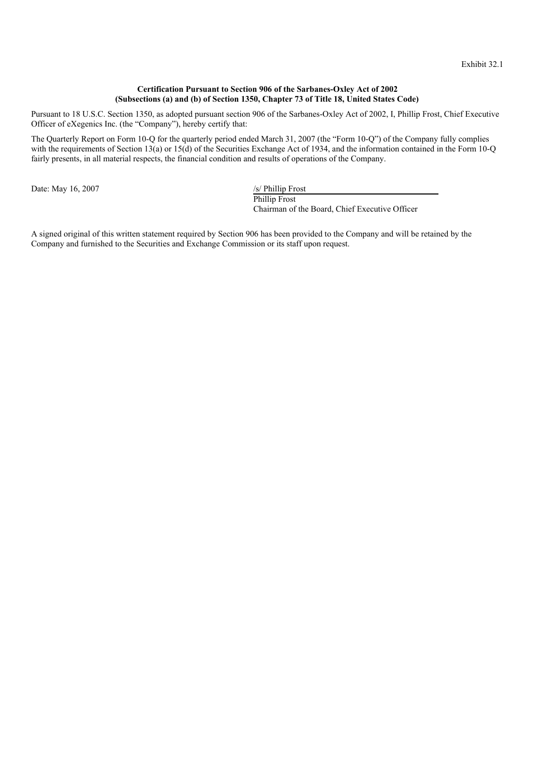#### **Certification Pursuant to Section 906 of the Sarbanes-Oxley Act of 2002 (Subsections (a) and (b) of Section 1350, Chapter 73 of Title 18, United States Code)**

Pursuant to 18 U.S.C. Section 1350, as adopted pursuant section 906 of the Sarbanes-Oxley Act of 2002, I, Phillip Frost, Chief Executive Officer of eXegenics Inc. (the "Company"), hereby certify that:

The Quarterly Report on Form 10-Q for the quarterly period ended March 31, 2007 (the "Form 10-Q") of the Company fully complies with the requirements of Section 13(a) or 15(d) of the Securities Exchange Act of 1934, and the information contained in the Form 10-Q fairly presents, in all material respects, the financial condition and results of operations of the Company.

Date: May 16, 2007 /s/ Phillip Frost

Phillip Frost

Chairman of the Board, Chief Executive Officer

A signed original of this written statement required by Section 906 has been provided to the Company and will be retained by the Company and furnished to the Securities and Exchange Commission or its staff upon request.